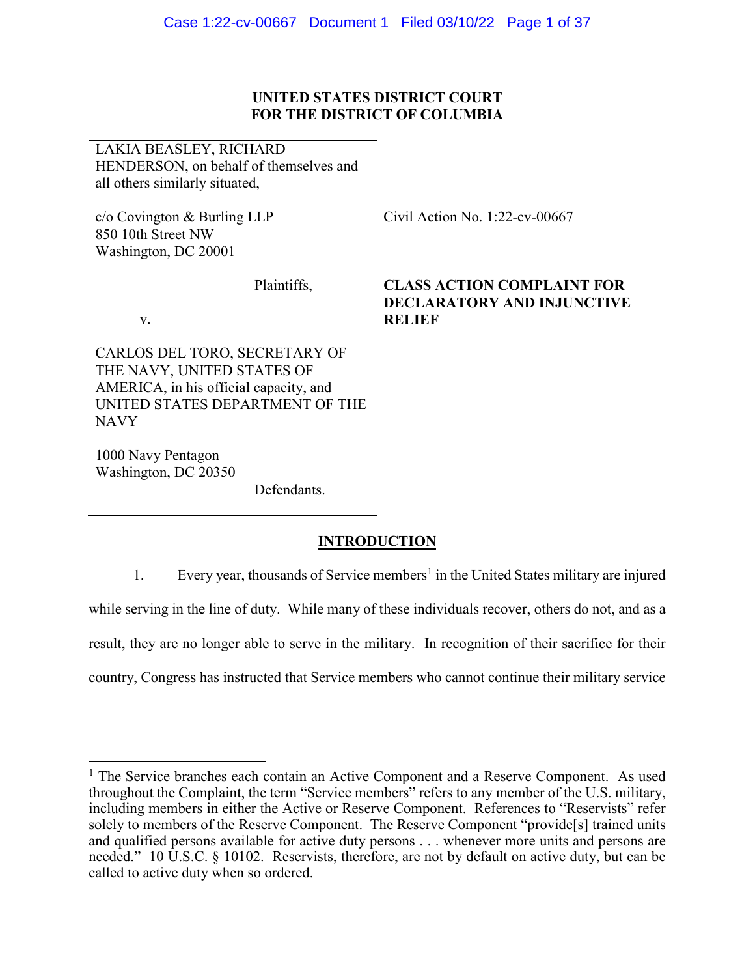# **UNITED STATES DISTRICT COURT FOR THE DISTRICT OF COLUMBIA**

| LAKIA BEASLEY, RICHARD<br>HENDERSON, on behalf of themselves and<br>all others similarly situated,                                                      |                                                                                         |
|---------------------------------------------------------------------------------------------------------------------------------------------------------|-----------------------------------------------------------------------------------------|
| $c$ /o Covington & Burling LLP<br>850 10th Street NW<br>Washington, DC 20001                                                                            | Civil Action No. $1:22$ -cv-00667                                                       |
| Plaintiffs,<br>V.                                                                                                                                       | <b>CLASS ACTION COMPLAINT FOR</b><br><b>DECLARATORY AND INJUNCTIVE</b><br><b>RELIEF</b> |
| CARLOS DEL TORO, SECRETARY OF<br>THE NAVY, UNITED STATES OF<br>AMERICA, in his official capacity, and<br>UNITED STATES DEPARTMENT OF THE<br><b>NAVY</b> |                                                                                         |
| 1000 Navy Pentagon<br>Washington, DC 20350<br>Defendants.                                                                                               |                                                                                         |

# **INTRODUCTION**

1. Every year, thousands of Service members<sup>1</sup> in the United States military are injured while serving in the line of duty. While many of these individuals recover, others do not, and as a result, they are no longer able to serve in the military. In recognition of their sacrifice for their country, Congress has instructed that Service members who cannot continue their military service

<sup>&</sup>lt;sup>1</sup> The Service branches each contain an Active Component and a Reserve Component. As used throughout the Complaint, the term "Service members" refers to any member of the U.S. military, including members in either the Active or Reserve Component. References to "Reservists" refer solely to members of the Reserve Component. The Reserve Component "provide[s] trained units and qualified persons available for active duty persons . . . whenever more units and persons are needed." 10 U.S.C. § 10102. Reservists, therefore, are not by default on active duty, but can be called to active duty when so ordered.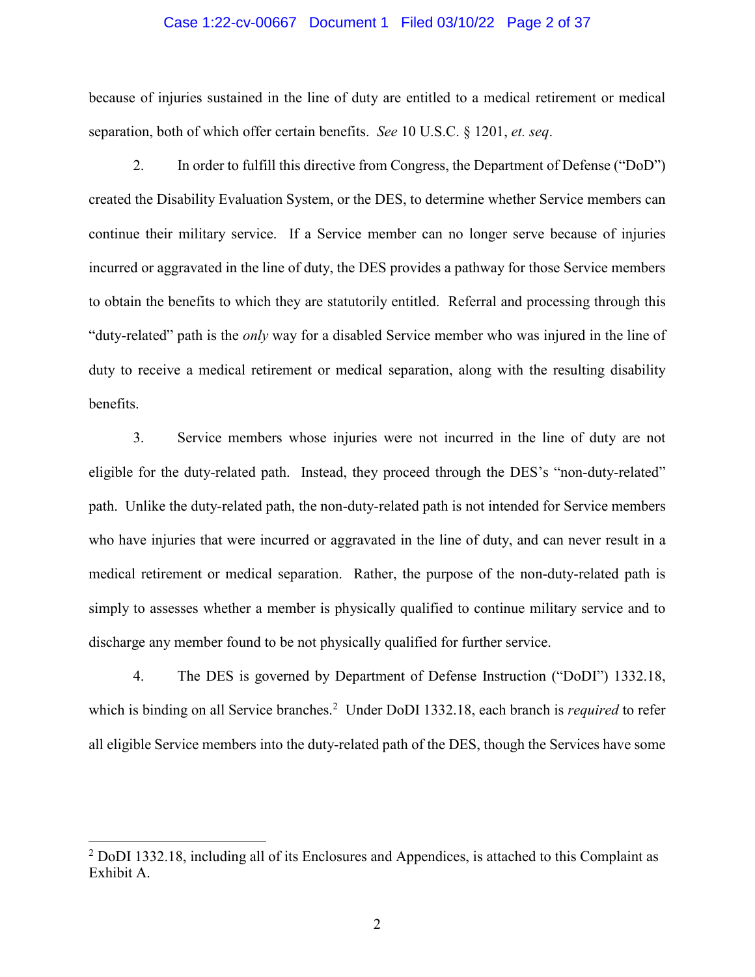#### Case 1:22-cv-00667 Document 1 Filed 03/10/22 Page 2 of 37

because of injuries sustained in the line of duty are entitled to a medical retirement or medical separation, both of which offer certain benefits. *See* 10 U.S.C. § 1201, *et. seq*.

2. In order to fulfill this directive from Congress, the Department of Defense ("DoD") created the Disability Evaluation System, or the DES, to determine whether Service members can continue their military service. If a Service member can no longer serve because of injuries incurred or aggravated in the line of duty, the DES provides a pathway for those Service members to obtain the benefits to which they are statutorily entitled. Referral and processing through this "duty-related" path is the *only* way for a disabled Service member who was injured in the line of duty to receive a medical retirement or medical separation, along with the resulting disability benefits.

3. Service members whose injuries were not incurred in the line of duty are not eligible for the duty-related path. Instead, they proceed through the DES's "non-duty-related" path. Unlike the duty-related path, the non-duty-related path is not intended for Service members who have injuries that were incurred or aggravated in the line of duty, and can never result in a medical retirement or medical separation. Rather, the purpose of the non-duty-related path is simply to assesses whether a member is physically qualified to continue military service and to discharge any member found to be not physically qualified for further service.

4. The DES is governed by Department of Defense Instruction ("DoDI") 1332.18, which is binding on all Service branches.<sup>2</sup> Under DoDI 1332.18, each branch is *required* to refer all eligible Service members into the duty-related path of the DES, though the Services have some

 $2$  DoDI 1332.18, including all of its Enclosures and Appendices, is attached to this Complaint as Exhibit A.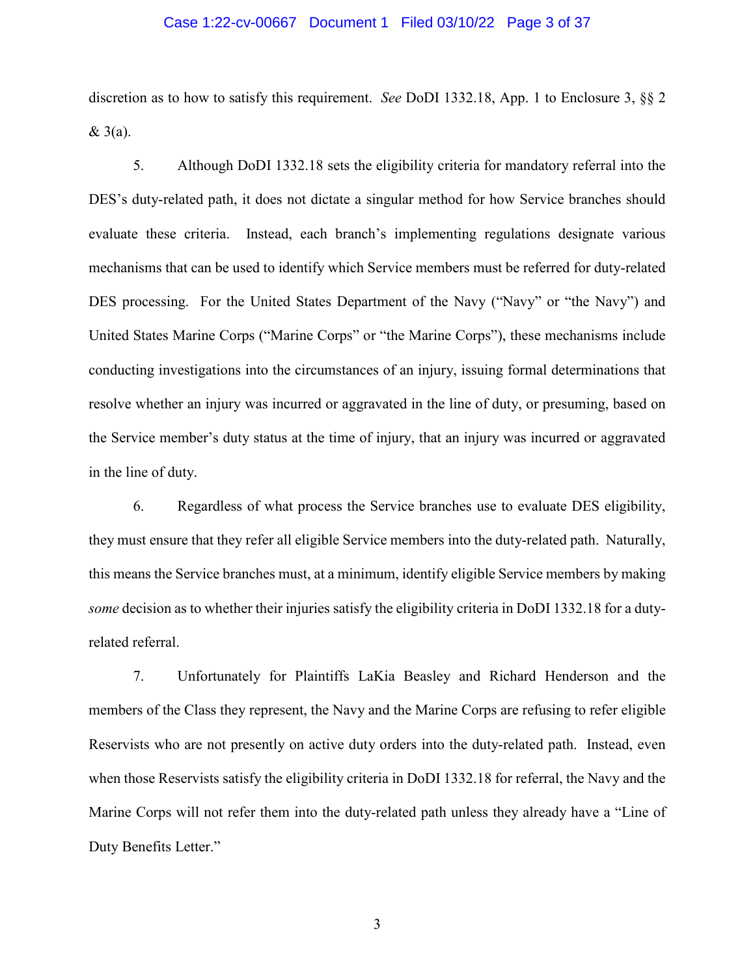## Case 1:22-cv-00667 Document 1 Filed 03/10/22 Page 3 of 37

discretion as to how to satisfy this requirement. *See* DoDI 1332.18, App. 1 to Enclosure 3, §§ 2 & 3(a).

5. Although DoDI 1332.18 sets the eligibility criteria for mandatory referral into the DES's duty-related path, it does not dictate a singular method for how Service branches should evaluate these criteria. Instead, each branch's implementing regulations designate various mechanisms that can be used to identify which Service members must be referred for duty-related DES processing. For the United States Department of the Navy ("Navy" or "the Navy") and United States Marine Corps ("Marine Corps" or "the Marine Corps"), these mechanisms include conducting investigations into the circumstances of an injury, issuing formal determinations that resolve whether an injury was incurred or aggravated in the line of duty, or presuming, based on the Service member's duty status at the time of injury, that an injury was incurred or aggravated in the line of duty.

6. Regardless of what process the Service branches use to evaluate DES eligibility, they must ensure that they refer all eligible Service members into the duty-related path. Naturally, this means the Service branches must, at a minimum, identify eligible Service members by making *some* decision as to whether their injuries satisfy the eligibility criteria in DoDI 1332.18 for a dutyrelated referral.

7. Unfortunately for Plaintiffs LaKia Beasley and Richard Henderson and the members of the Class they represent, the Navy and the Marine Corps are refusing to refer eligible Reservists who are not presently on active duty orders into the duty-related path. Instead, even when those Reservists satisfy the eligibility criteria in DoDI 1332.18 for referral, the Navy and the Marine Corps will not refer them into the duty-related path unless they already have a "Line of Duty Benefits Letter."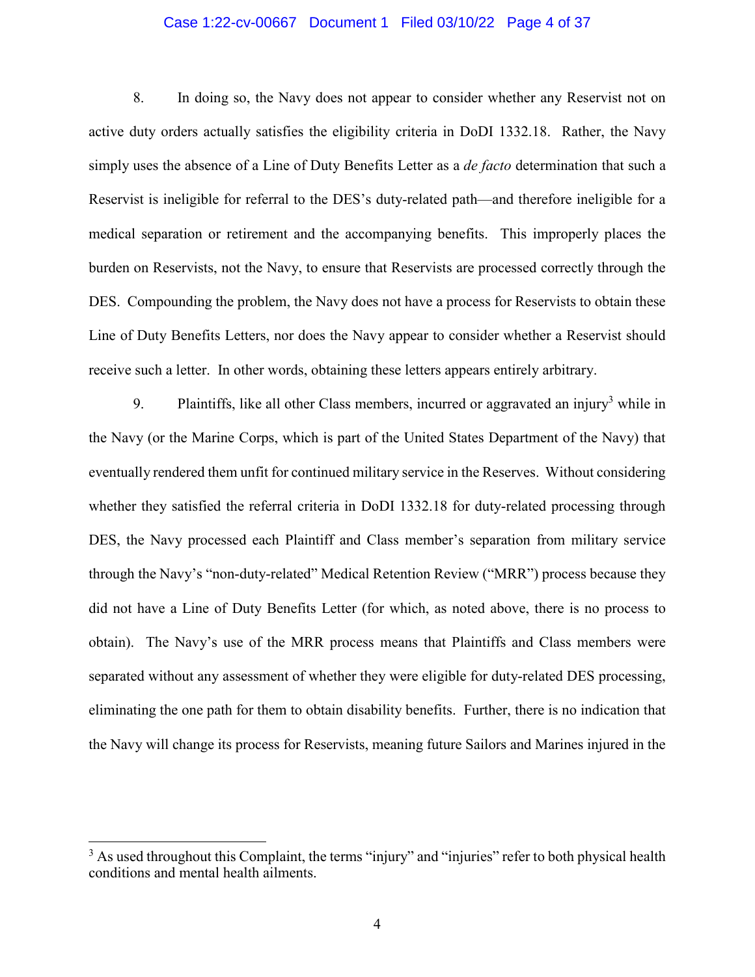## Case 1:22-cv-00667 Document 1 Filed 03/10/22 Page 4 of 37

8. In doing so, the Navy does not appear to consider whether any Reservist not on active duty orders actually satisfies the eligibility criteria in DoDI 1332.18. Rather, the Navy simply uses the absence of a Line of Duty Benefits Letter as a *de facto* determination that such a Reservist is ineligible for referral to the DES's duty-related path—and therefore ineligible for a medical separation or retirement and the accompanying benefits. This improperly places the burden on Reservists, not the Navy, to ensure that Reservists are processed correctly through the DES. Compounding the problem, the Navy does not have a process for Reservists to obtain these Line of Duty Benefits Letters, nor does the Navy appear to consider whether a Reservist should receive such a letter. In other words, obtaining these letters appears entirely arbitrary.

9. Plaintiffs, like all other Class members, incurred or aggravated an injury<sup>3</sup> while in the Navy (or the Marine Corps, which is part of the United States Department of the Navy) that eventually rendered them unfit for continued military service in the Reserves. Without considering whether they satisfied the referral criteria in DoDI 1332.18 for duty-related processing through DES, the Navy processed each Plaintiff and Class member's separation from military service through the Navy's "non-duty-related" Medical Retention Review ("MRR") process because they did not have a Line of Duty Benefits Letter (for which, as noted above, there is no process to obtain). The Navy's use of the MRR process means that Plaintiffs and Class members were separated without any assessment of whether they were eligible for duty-related DES processing, eliminating the one path for them to obtain disability benefits. Further, there is no indication that the Navy will change its process for Reservists, meaning future Sailors and Marines injured in the

 $3$  As used throughout this Complaint, the terms "injury" and "injuries" refer to both physical health conditions and mental health ailments.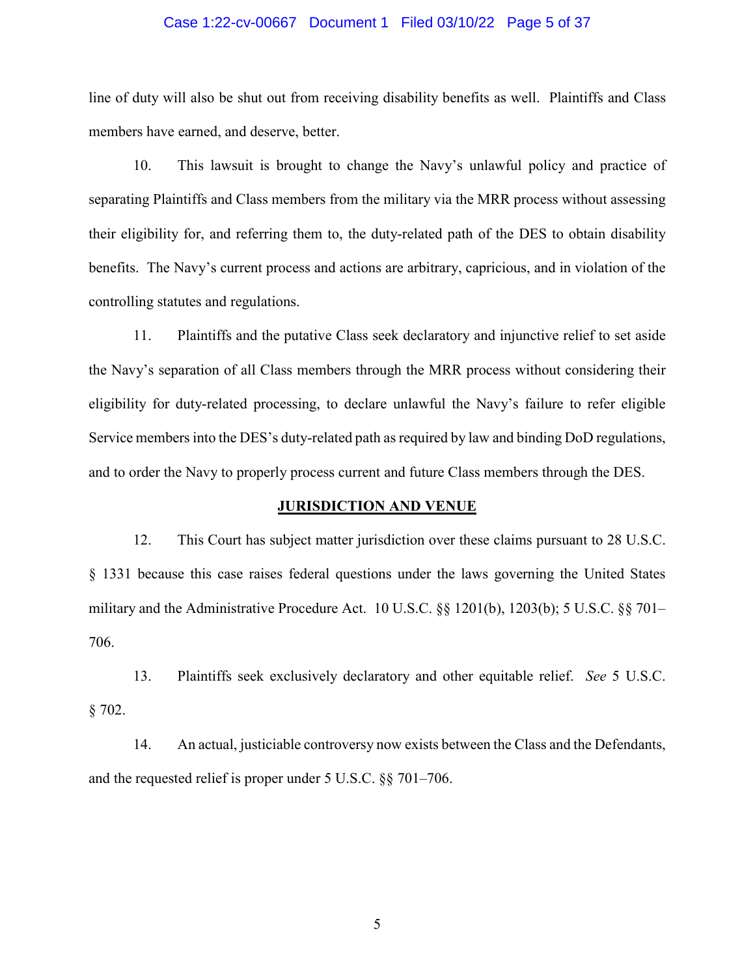### Case 1:22-cv-00667 Document 1 Filed 03/10/22 Page 5 of 37

line of duty will also be shut out from receiving disability benefits as well. Plaintiffs and Class members have earned, and deserve, better.

10. This lawsuit is brought to change the Navy's unlawful policy and practice of separating Plaintiffs and Class members from the military via the MRR process without assessing their eligibility for, and referring them to, the duty-related path of the DES to obtain disability benefits. The Navy's current process and actions are arbitrary, capricious, and in violation of the controlling statutes and regulations.

11. Plaintiffs and the putative Class seek declaratory and injunctive relief to set aside the Navy's separation of all Class members through the MRR process without considering their eligibility for duty-related processing, to declare unlawful the Navy's failure to refer eligible Service members into the DES's duty-related path as required by law and binding DoD regulations, and to order the Navy to properly process current and future Class members through the DES.

#### **JURISDICTION AND VENUE**

12. This Court has subject matter jurisdiction over these claims pursuant to 28 U.S.C. § 1331 because this case raises federal questions under the laws governing the United States military and the Administrative Procedure Act. 10 U.S.C. §§ 1201(b), 1203(b); 5 U.S.C. §§ 701– 706.

13. Plaintiffs seek exclusively declaratory and other equitable relief. *See* 5 U.S.C.  $§ 702.$ 

14. An actual, justiciable controversy now exists between the Class and the Defendants, and the requested relief is proper under 5 U.S.C. §§ 701–706.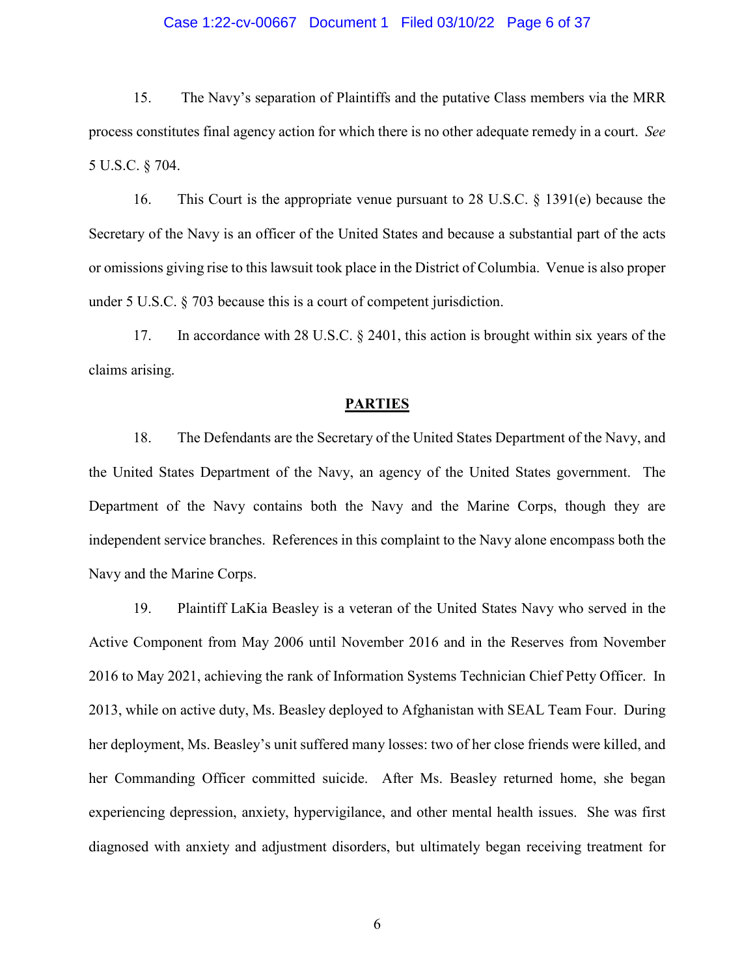## Case 1:22-cv-00667 Document 1 Filed 03/10/22 Page 6 of 37

15. The Navy's separation of Plaintiffs and the putative Class members via the MRR process constitutes final agency action for which there is no other adequate remedy in a court. *See* 5 U.S.C. § 704.

16. This Court is the appropriate venue pursuant to 28 U.S.C. § 1391(e) because the Secretary of the Navy is an officer of the United States and because a substantial part of the acts or omissions giving rise to this lawsuit took place in the District of Columbia. Venue is also proper under 5 U.S.C. § 703 because this is a court of competent jurisdiction.

17. In accordance with 28 U.S.C. § 2401, this action is brought within six years of the claims arising.

#### **PARTIES**

18. The Defendants are the Secretary of the United States Department of the Navy, and the United States Department of the Navy, an agency of the United States government. The Department of the Navy contains both the Navy and the Marine Corps, though they are independent service branches. References in this complaint to the Navy alone encompass both the Navy and the Marine Corps.

19. Plaintiff LaKia Beasley is a veteran of the United States Navy who served in the Active Component from May 2006 until November 2016 and in the Reserves from November 2016 to May 2021, achieving the rank of Information Systems Technician Chief Petty Officer. In 2013, while on active duty, Ms. Beasley deployed to Afghanistan with SEAL Team Four. During her deployment, Ms. Beasley's unit suffered many losses: two of her close friends were killed, and her Commanding Officer committed suicide. After Ms. Beasley returned home, she began experiencing depression, anxiety, hypervigilance, and other mental health issues. She was first diagnosed with anxiety and adjustment disorders, but ultimately began receiving treatment for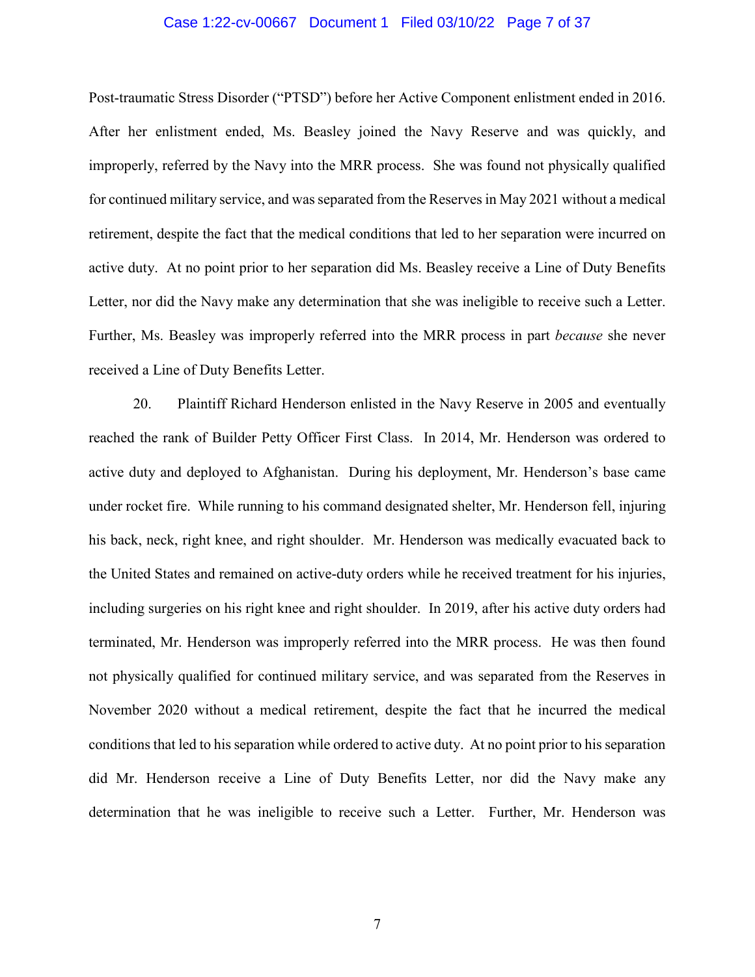### Case 1:22-cv-00667 Document 1 Filed 03/10/22 Page 7 of 37

Post-traumatic Stress Disorder ("PTSD") before her Active Component enlistment ended in 2016. After her enlistment ended, Ms. Beasley joined the Navy Reserve and was quickly, and improperly, referred by the Navy into the MRR process. She was found not physically qualified for continued military service, and was separated from the Reserves in May 2021 without a medical retirement, despite the fact that the medical conditions that led to her separation were incurred on active duty. At no point prior to her separation did Ms. Beasley receive a Line of Duty Benefits Letter, nor did the Navy make any determination that she was ineligible to receive such a Letter. Further, Ms. Beasley was improperly referred into the MRR process in part *because* she never received a Line of Duty Benefits Letter.

20. Plaintiff Richard Henderson enlisted in the Navy Reserve in 2005 and eventually reached the rank of Builder Petty Officer First Class. In 2014, Mr. Henderson was ordered to active duty and deployed to Afghanistan. During his deployment, Mr. Henderson's base came under rocket fire. While running to his command designated shelter, Mr. Henderson fell, injuring his back, neck, right knee, and right shoulder. Mr. Henderson was medically evacuated back to the United States and remained on active-duty orders while he received treatment for his injuries, including surgeries on his right knee and right shoulder. In 2019, after his active duty orders had terminated, Mr. Henderson was improperly referred into the MRR process. He was then found not physically qualified for continued military service, and was separated from the Reserves in November 2020 without a medical retirement, despite the fact that he incurred the medical conditions that led to his separation while ordered to active duty. At no point prior to his separation did Mr. Henderson receive a Line of Duty Benefits Letter, nor did the Navy make any determination that he was ineligible to receive such a Letter. Further, Mr. Henderson was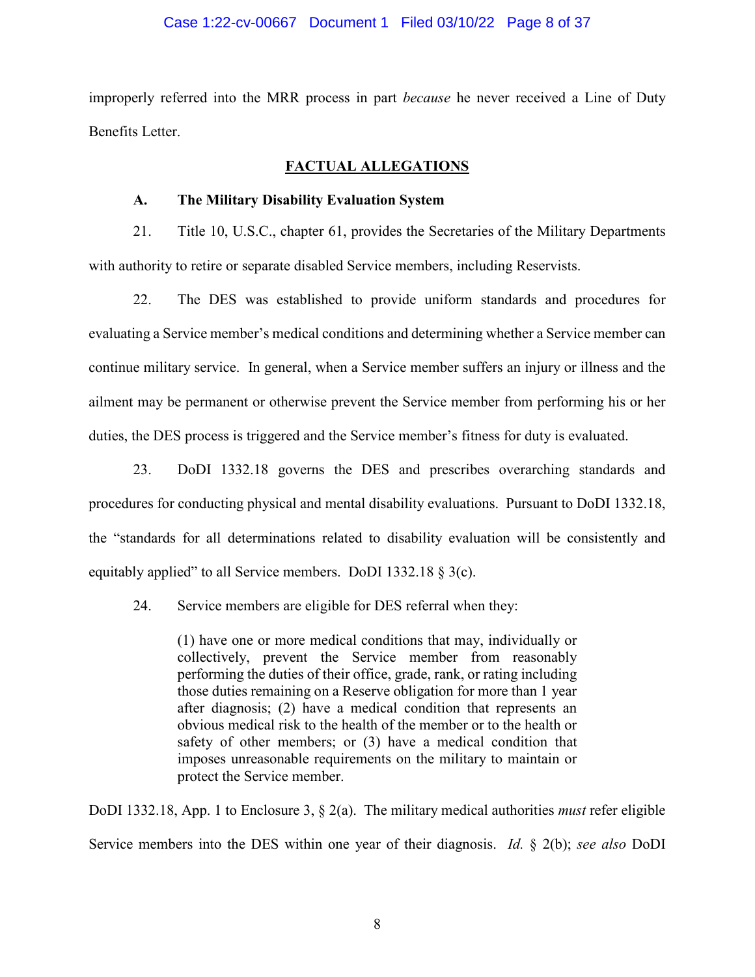## Case 1:22-cv-00667 Document 1 Filed 03/10/22 Page 8 of 37

improperly referred into the MRR process in part *because* he never received a Line of Duty Benefits Letter.

## **FACTUAL ALLEGATIONS**

## **A. The Military Disability Evaluation System**

21. Title 10, U.S.C., chapter 61, provides the Secretaries of the Military Departments with authority to retire or separate disabled Service members, including Reservists.

22. The DES was established to provide uniform standards and procedures for evaluating a Service member's medical conditions and determining whether a Service member can continue military service. In general, when a Service member suffers an injury or illness and the ailment may be permanent or otherwise prevent the Service member from performing his or her duties, the DES process is triggered and the Service member's fitness for duty is evaluated.

23. DoDI 1332.18 governs the DES and prescribes overarching standards and procedures for conducting physical and mental disability evaluations. Pursuant to DoDI 1332.18, the "standards for all determinations related to disability evaluation will be consistently and equitably applied" to all Service members. DoDI 1332.18 § 3(c).

24. Service members are eligible for DES referral when they:

(1) have one or more medical conditions that may, individually or collectively, prevent the Service member from reasonably performing the duties of their office, grade, rank, or rating including those duties remaining on a Reserve obligation for more than 1 year after diagnosis; (2) have a medical condition that represents an obvious medical risk to the health of the member or to the health or safety of other members; or (3) have a medical condition that imposes unreasonable requirements on the military to maintain or protect the Service member.

DoDI 1332.18, App. 1 to Enclosure 3, § 2(a). The military medical authorities *must* refer eligible Service members into the DES within one year of their diagnosis. *Id.* § 2(b); *see also* DoDI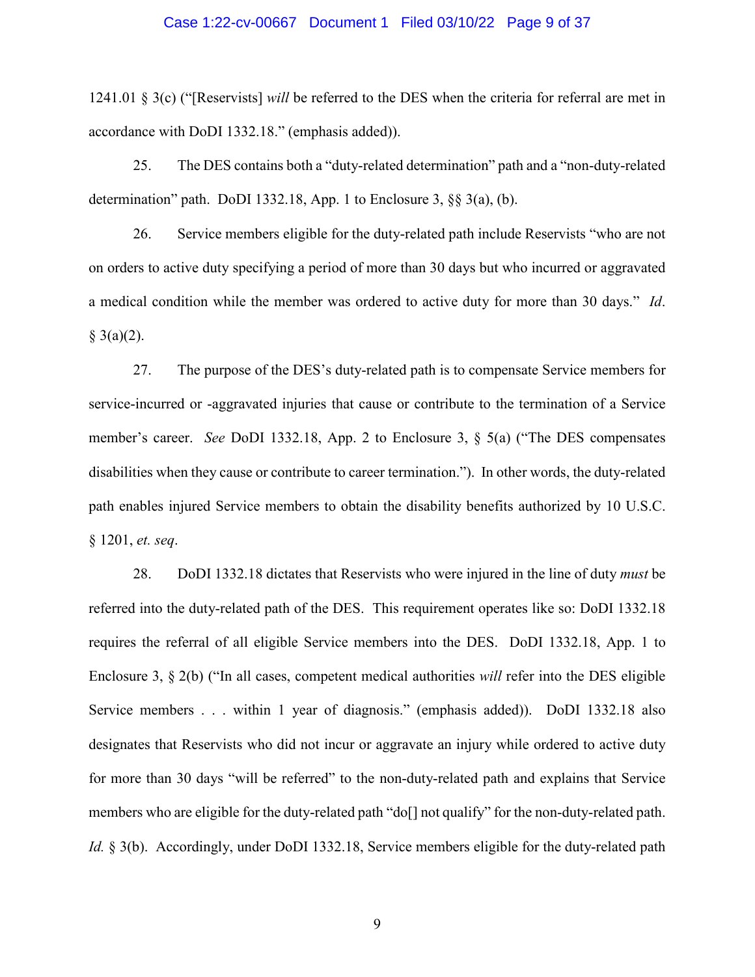### Case 1:22-cv-00667 Document 1 Filed 03/10/22 Page 9 of 37

1241.01 § 3(c) ("[Reservists] *will* be referred to the DES when the criteria for referral are met in accordance with DoDI 1332.18." (emphasis added)).

25. The DES contains both a "duty-related determination" path and a "non-duty-related determination" path. DoDI 1332.18, App. 1 to Enclosure 3, §§ 3(a), (b).

26. Service members eligible for the duty-related path include Reservists "who are not on orders to active duty specifying a period of more than 30 days but who incurred or aggravated a medical condition while the member was ordered to active duty for more than 30 days." *Id*.  $§ 3(a)(2).$ 

27. The purpose of the DES's duty-related path is to compensate Service members for service-incurred or -aggravated injuries that cause or contribute to the termination of a Service member's career. *See* DoDI 1332.18, App. 2 to Enclosure 3, § 5(a) ("The DES compensates disabilities when they cause or contribute to career termination."). In other words, the duty-related path enables injured Service members to obtain the disability benefits authorized by 10 U.S.C. § 1201, *et. seq*.

28. DoDI 1332.18 dictates that Reservists who were injured in the line of duty *must* be referred into the duty-related path of the DES. This requirement operates like so: DoDI 1332.18 requires the referral of all eligible Service members into the DES. DoDI 1332.18, App. 1 to Enclosure 3, § 2(b) ("In all cases, competent medical authorities *will* refer into the DES eligible Service members . . . within 1 year of diagnosis." (emphasis added)). DoDI 1332.18 also designates that Reservists who did not incur or aggravate an injury while ordered to active duty for more than 30 days "will be referred" to the non-duty-related path and explains that Service members who are eligible for the duty-related path "do[] not qualify" for the non-duty-related path. *Id.* § 3(b). Accordingly, under DoDI 1332.18, Service members eligible for the duty-related path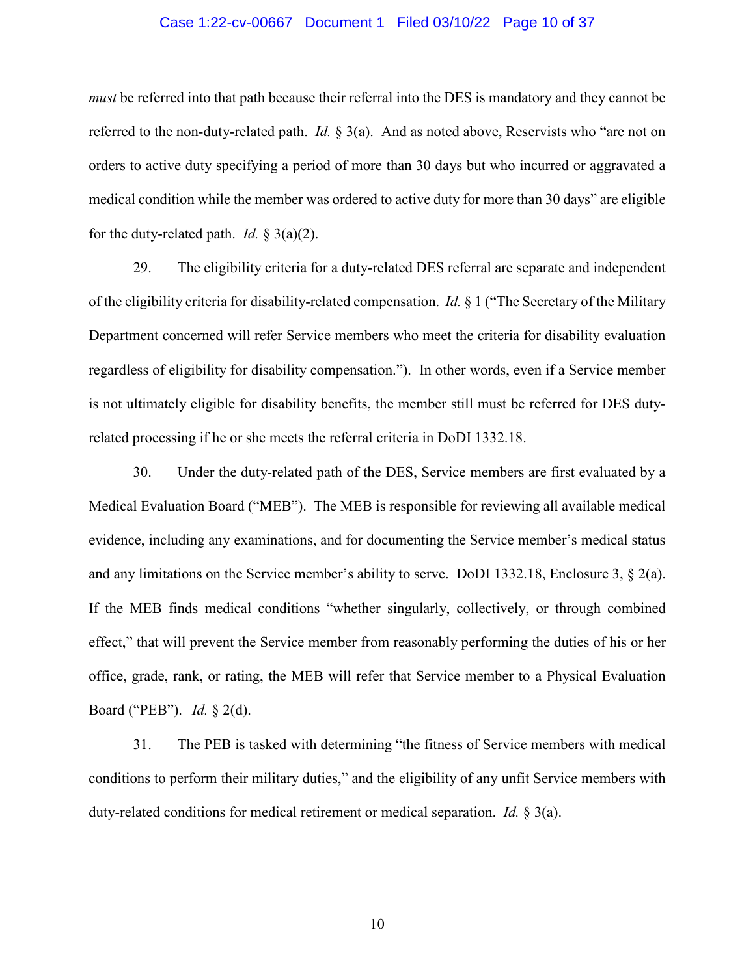### Case 1:22-cv-00667 Document 1 Filed 03/10/22 Page 10 of 37

*must* be referred into that path because their referral into the DES is mandatory and they cannot be referred to the non-duty-related path. *Id.* § 3(a). And as noted above, Reservists who "are not on orders to active duty specifying a period of more than 30 days but who incurred or aggravated a medical condition while the member was ordered to active duty for more than 30 days" are eligible for the duty-related path. *Id.* § 3(a)(2).

29. The eligibility criteria for a duty-related DES referral are separate and independent of the eligibility criteria for disability-related compensation. *Id.* § 1 ("The Secretary of the Military Department concerned will refer Service members who meet the criteria for disability evaluation regardless of eligibility for disability compensation."). In other words, even if a Service member is not ultimately eligible for disability benefits, the member still must be referred for DES dutyrelated processing if he or she meets the referral criteria in DoDI 1332.18.

30. Under the duty-related path of the DES, Service members are first evaluated by a Medical Evaluation Board ("MEB"). The MEB is responsible for reviewing all available medical evidence, including any examinations, and for documenting the Service member's medical status and any limitations on the Service member's ability to serve. DoDI 1332.18, Enclosure 3,  $\S$  2(a). If the MEB finds medical conditions "whether singularly, collectively, or through combined effect," that will prevent the Service member from reasonably performing the duties of his or her office, grade, rank, or rating, the MEB will refer that Service member to a Physical Evaluation Board ("PEB"). *Id.* § 2(d).

31. The PEB is tasked with determining "the fitness of Service members with medical conditions to perform their military duties," and the eligibility of any unfit Service members with duty-related conditions for medical retirement or medical separation. *Id.* § 3(a).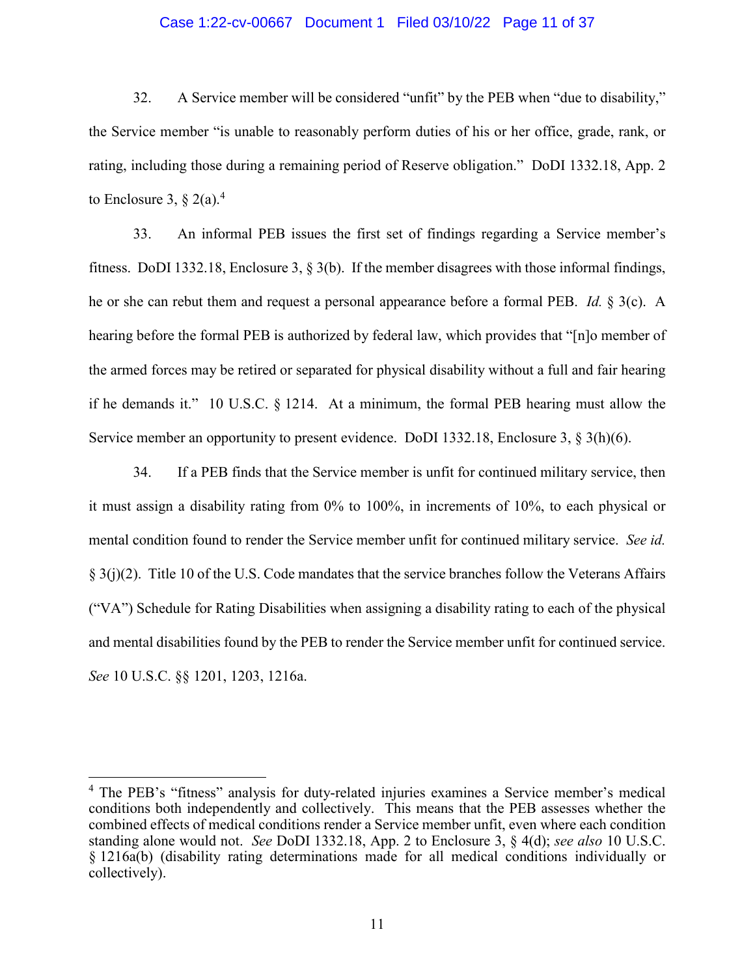## Case 1:22-cv-00667 Document 1 Filed 03/10/22 Page 11 of 37

32. A Service member will be considered "unfit" by the PEB when "due to disability," the Service member "is unable to reasonably perform duties of his or her office, grade, rank, or rating, including those during a remaining period of Reserve obligation." DoDI 1332.18, App. 2 to Enclosure 3,  $\S 2(a)$ .<sup>4</sup>

33. An informal PEB issues the first set of findings regarding a Service member's fitness. DoDI 1332.18, Enclosure 3, § 3(b). If the member disagrees with those informal findings, he or she can rebut them and request a personal appearance before a formal PEB. *Id.* § 3(c). A hearing before the formal PEB is authorized by federal law, which provides that "[n]o member of the armed forces may be retired or separated for physical disability without a full and fair hearing if he demands it." 10 U.S.C. § 1214. At a minimum, the formal PEB hearing must allow the Service member an opportunity to present evidence. DoDI 1332.18, Enclosure 3, § 3(h)(6).

34. If a PEB finds that the Service member is unfit for continued military service, then it must assign a disability rating from 0% to 100%, in increments of 10%, to each physical or mental condition found to render the Service member unfit for continued military service. *See id.* § 3(j)(2). Title 10 of the U.S. Code mandates that the service branches follow the Veterans Affairs ("VA") Schedule for Rating Disabilities when assigning a disability rating to each of the physical and mental disabilities found by the PEB to render the Service member unfit for continued service. *See* 10 U.S.C. §§ 1201, 1203, 1216a.

<sup>&</sup>lt;sup>4</sup> The PEB's "fitness" analysis for duty-related injuries examines a Service member's medical conditions both independently and collectively. This means that the PEB assesses whether the combined effects of medical conditions render a Service member unfit, even where each condition standing alone would not. *See* DoDI 1332.18, App. 2 to Enclosure 3, § 4(d); *see also* 10 U.S.C. § 1216a(b) (disability rating determinations made for all medical conditions individually or collectively).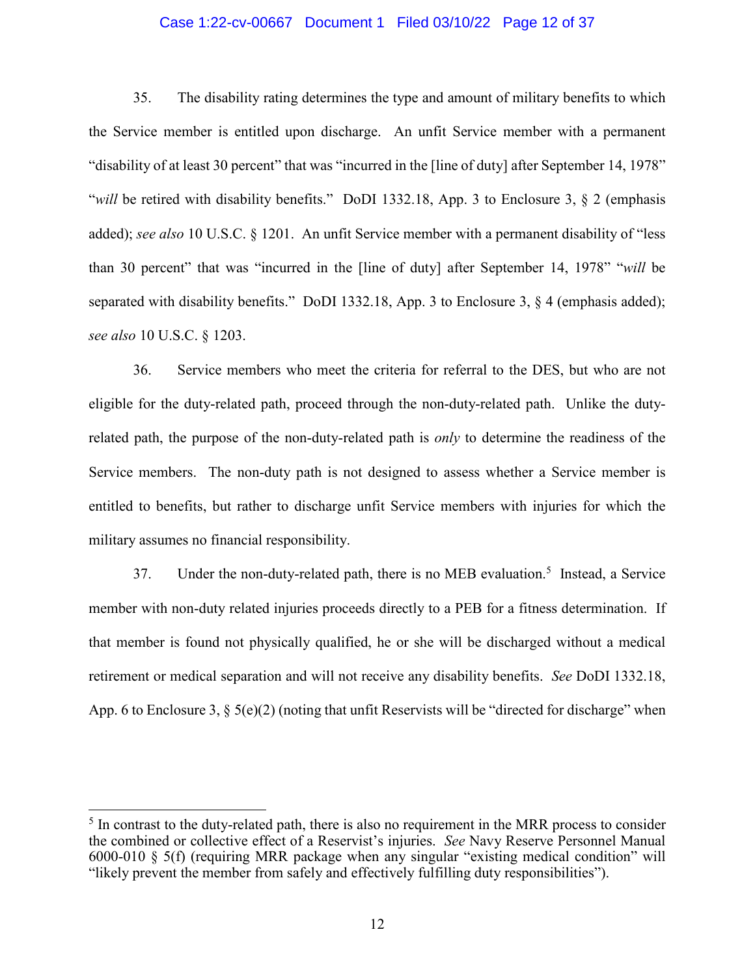## Case 1:22-cv-00667 Document 1 Filed 03/10/22 Page 12 of 37

35. The disability rating determines the type and amount of military benefits to which the Service member is entitled upon discharge. An unfit Service member with a permanent "disability of at least 30 percent" that was "incurred in the [line of duty] after September 14, 1978" "*will* be retired with disability benefits." DoDI 1332.18, App. 3 to Enclosure 3, § 2 (emphasis added); *see also* 10 U.S.C. § 1201. An unfit Service member with a permanent disability of "less than 30 percent" that was "incurred in the [line of duty] after September 14, 1978" "*will* be separated with disability benefits." DoDI 1332.18, App. 3 to Enclosure 3, § 4 (emphasis added); *see also* 10 U.S.C. § 1203.

36. Service members who meet the criteria for referral to the DES, but who are not eligible for the duty-related path, proceed through the non-duty-related path. Unlike the dutyrelated path, the purpose of the non-duty-related path is *only* to determine the readiness of the Service members. The non-duty path is not designed to assess whether a Service member is entitled to benefits, but rather to discharge unfit Service members with injuries for which the military assumes no financial responsibility.

37. Under the non-duty-related path, there is no MEB evaluation.<sup>5</sup> Instead, a Service member with non-duty related injuries proceeds directly to a PEB for a fitness determination. If that member is found not physically qualified, he or she will be discharged without a medical retirement or medical separation and will not receive any disability benefits. *See* DoDI 1332.18, App. 6 to Enclosure 3, § 5(e)(2) (noting that unfit Reservists will be "directed for discharge" when

 $<sup>5</sup>$  In contrast to the duty-related path, there is also no requirement in the MRR process to consider</sup> the combined or collective effect of a Reservist's injuries. *See* Navy Reserve Personnel Manual 6000-010 § 5(f) (requiring MRR package when any singular "existing medical condition" will "likely prevent the member from safely and effectively fulfilling duty responsibilities").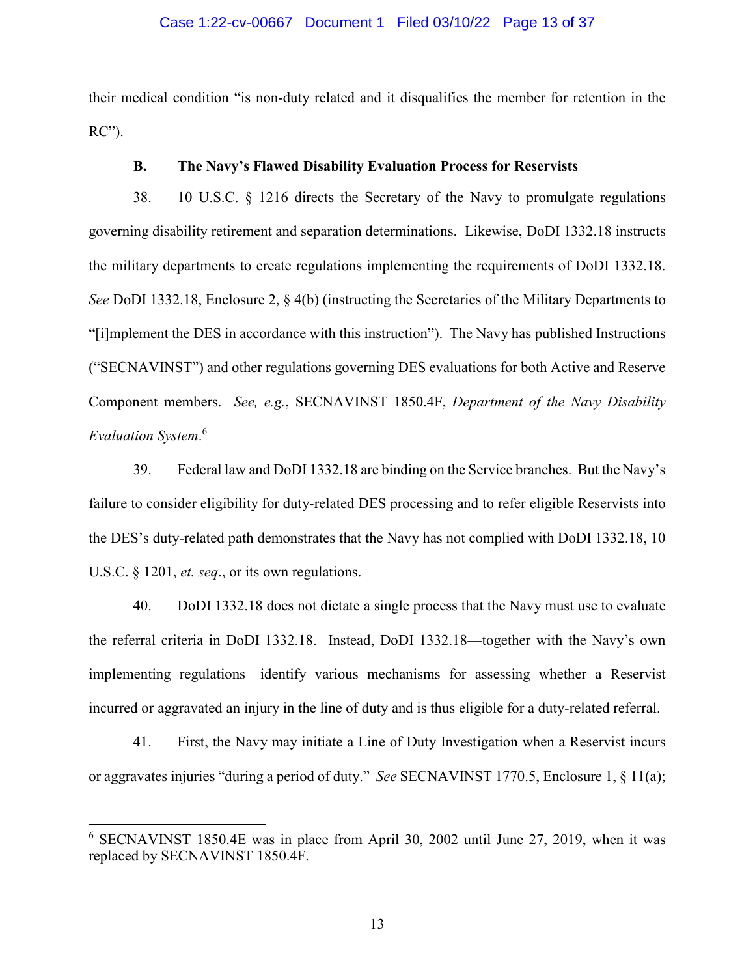## Case 1:22-cv-00667 Document 1 Filed 03/10/22 Page 13 of 37

their medical condition "is non-duty related and it disqualifies the member for retention in the RC").

## **B. The Navy's Flawed Disability Evaluation Process for Reservists**

38. 10 U.S.C. § 1216 directs the Secretary of the Navy to promulgate regulations governing disability retirement and separation determinations. Likewise, DoDI 1332.18 instructs the military departments to create regulations implementing the requirements of DoDI 1332.18. *See* DoDI 1332.18, Enclosure 2, § 4(b) (instructing the Secretaries of the Military Departments to "[i]mplement the DES in accordance with this instruction"). The Navy has published Instructions ("SECNAVINST") and other regulations governing DES evaluations for both Active and Reserve Component members. *See, e.g.*, SECNAVINST 1850.4F, *Department of the Navy Disability Evaluation System*. 6

39. Federal law and DoDI 1332.18 are binding on the Service branches. But the Navy's failure to consider eligibility for duty-related DES processing and to refer eligible Reservists into the DES's duty-related path demonstrates that the Navy has not complied with DoDI 1332.18, 10 U.S.C. § 1201, *et. seq*., or its own regulations.

40. DoDI 1332.18 does not dictate a single process that the Navy must use to evaluate the referral criteria in DoDI 1332.18. Instead, DoDI 1332.18—together with the Navy's own implementing regulations—identify various mechanisms for assessing whether a Reservist incurred or aggravated an injury in the line of duty and is thus eligible for a duty-related referral.

41. First, the Navy may initiate a Line of Duty Investigation when a Reservist incurs or aggravates injuries "during a period of duty." *See* SECNAVINST 1770.5, Enclosure 1, § 11(a);

<sup>6</sup> SECNAVINST 1850.4E was in place from April 30, 2002 until June 27, 2019, when it was replaced by SECNAVINST 1850.4F.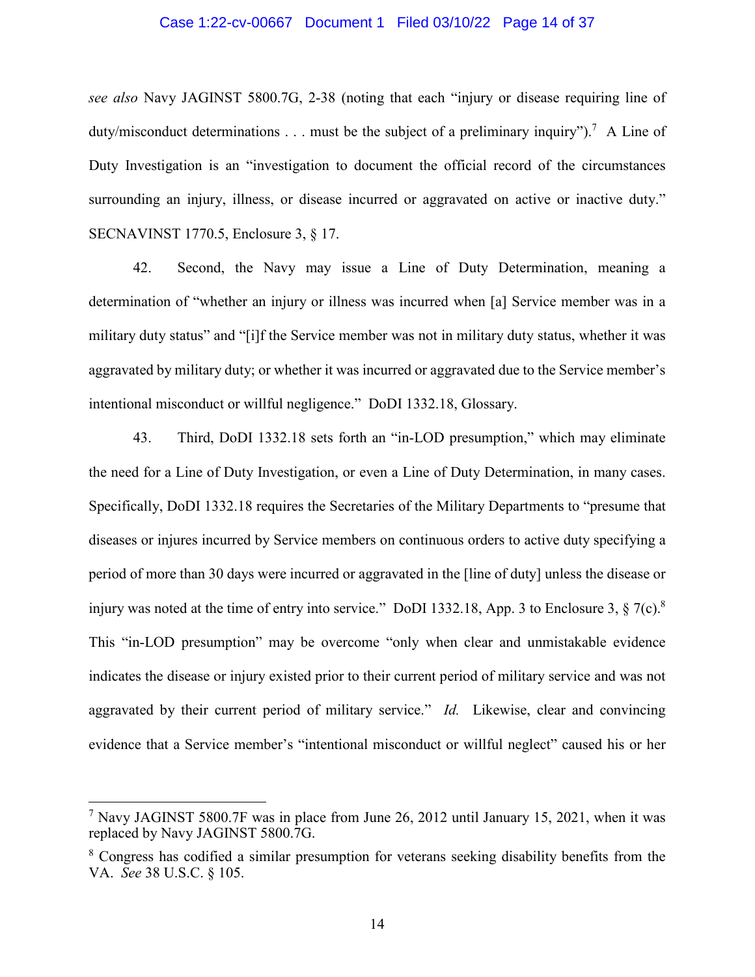## Case 1:22-cv-00667 Document 1 Filed 03/10/22 Page 14 of 37

*see also* Navy JAGINST 5800.7G, 2-38 (noting that each "injury or disease requiring line of duty/misconduct determinations . . . must be the subject of a preliminary inquiry").<sup>7</sup> A Line of Duty Investigation is an "investigation to document the official record of the circumstances surrounding an injury, illness, or disease incurred or aggravated on active or inactive duty." SECNAVINST 1770.5, Enclosure 3, § 17.

42. Second, the Navy may issue a Line of Duty Determination, meaning a determination of "whether an injury or illness was incurred when [a] Service member was in a military duty status" and "[i]f the Service member was not in military duty status, whether it was aggravated by military duty; or whether it was incurred or aggravated due to the Service member's intentional misconduct or willful negligence." DoDI 1332.18, Glossary.

43. Third, DoDI 1332.18 sets forth an "in-LOD presumption," which may eliminate the need for a Line of Duty Investigation, or even a Line of Duty Determination, in many cases. Specifically, DoDI 1332.18 requires the Secretaries of the Military Departments to "presume that diseases or injures incurred by Service members on continuous orders to active duty specifying a period of more than 30 days were incurred or aggravated in the [line of duty] unless the disease or injury was noted at the time of entry into service." DoDI 1332.18, App. 3 to Enclosure 3,  $\S 7(c)$ .<sup>8</sup> This "in-LOD presumption" may be overcome "only when clear and unmistakable evidence indicates the disease or injury existed prior to their current period of military service and was not aggravated by their current period of military service." *Id.* Likewise, clear and convincing evidence that a Service member's "intentional misconduct or willful neglect" caused his or her

<sup>&</sup>lt;sup>7</sup> Navy JAGINST 5800.7F was in place from June 26, 2012 until January 15, 2021, when it was replaced by Navy JAGINST 5800.7G.

<sup>&</sup>lt;sup>8</sup> Congress has codified a similar presumption for veterans seeking disability benefits from the VA. *See* 38 U.S.C. § 105.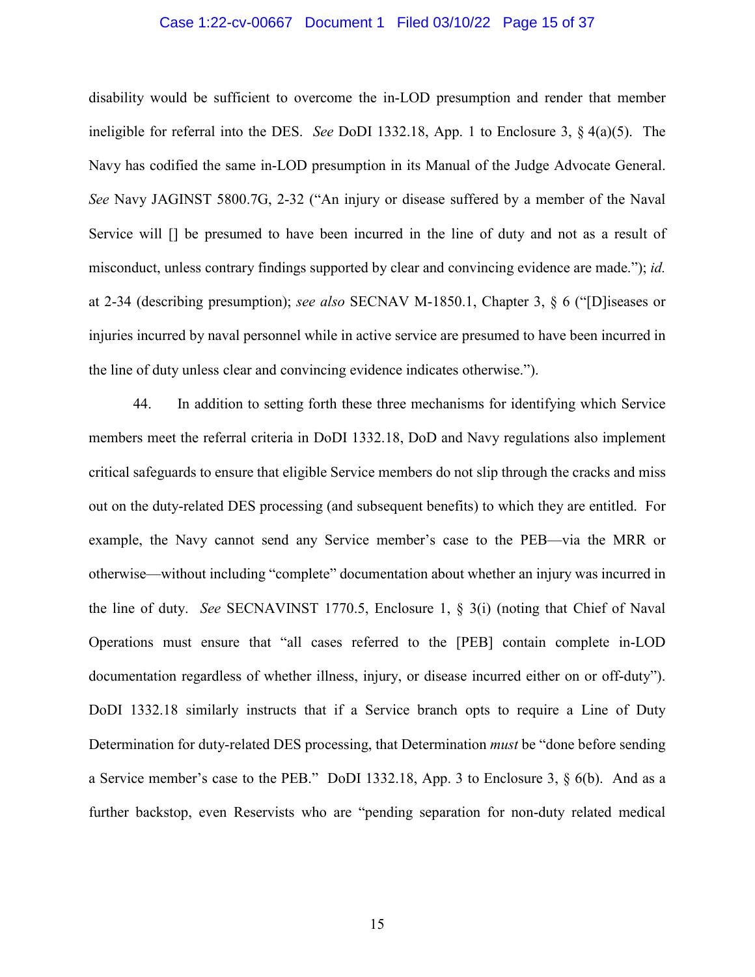## Case 1:22-cv-00667 Document 1 Filed 03/10/22 Page 15 of 37

disability would be sufficient to overcome the in-LOD presumption and render that member ineligible for referral into the DES. *See* DoDI 1332.18, App. 1 to Enclosure 3, § 4(a)(5). The Navy has codified the same in-LOD presumption in its Manual of the Judge Advocate General. *See* Navy JAGINST 5800.7G, 2-32 ("An injury or disease suffered by a member of the Naval Service will [] be presumed to have been incurred in the line of duty and not as a result of misconduct, unless contrary findings supported by clear and convincing evidence are made."); *id.* at 2-34 (describing presumption); *see also* SECNAV M-1850.1, Chapter 3, § 6 ("[D]iseases or injuries incurred by naval personnel while in active service are presumed to have been incurred in the line of duty unless clear and convincing evidence indicates otherwise.").

44. In addition to setting forth these three mechanisms for identifying which Service members meet the referral criteria in DoDI 1332.18, DoD and Navy regulations also implement critical safeguards to ensure that eligible Service members do not slip through the cracks and miss out on the duty-related DES processing (and subsequent benefits) to which they are entitled. For example, the Navy cannot send any Service member's case to the PEB—via the MRR or otherwise—without including "complete" documentation about whether an injury was incurred in the line of duty. *See* SECNAVINST 1770.5, Enclosure 1, § 3(i) (noting that Chief of Naval Operations must ensure that "all cases referred to the [PEB] contain complete in-LOD documentation regardless of whether illness, injury, or disease incurred either on or off-duty"). DoDI 1332.18 similarly instructs that if a Service branch opts to require a Line of Duty Determination for duty-related DES processing, that Determination *must* be "done before sending a Service member's case to the PEB." DoDI 1332.18, App. 3 to Enclosure 3, § 6(b). And as a further backstop, even Reservists who are "pending separation for non-duty related medical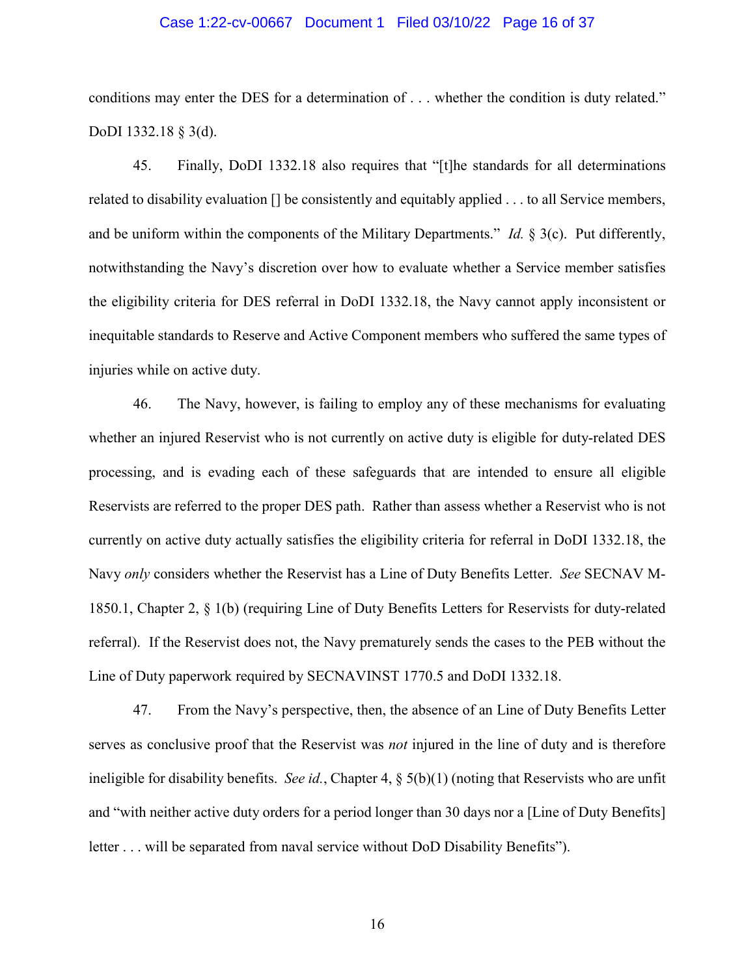## Case 1:22-cv-00667 Document 1 Filed 03/10/22 Page 16 of 37

conditions may enter the DES for a determination of . . . whether the condition is duty related." DoDI 1332.18 § 3(d).

45. Finally, DoDI 1332.18 also requires that "[t]he standards for all determinations related to disability evaluation [] be consistently and equitably applied . . . to all Service members, and be uniform within the components of the Military Departments." *Id.* § 3(c). Put differently, notwithstanding the Navy's discretion over how to evaluate whether a Service member satisfies the eligibility criteria for DES referral in DoDI 1332.18, the Navy cannot apply inconsistent or inequitable standards to Reserve and Active Component members who suffered the same types of injuries while on active duty.

46. The Navy, however, is failing to employ any of these mechanisms for evaluating whether an injured Reservist who is not currently on active duty is eligible for duty-related DES processing, and is evading each of these safeguards that are intended to ensure all eligible Reservists are referred to the proper DES path. Rather than assess whether a Reservist who is not currently on active duty actually satisfies the eligibility criteria for referral in DoDI 1332.18, the Navy *only* considers whether the Reservist has a Line of Duty Benefits Letter. *See* SECNAV M-1850.1, Chapter 2, § 1(b) (requiring Line of Duty Benefits Letters for Reservists for duty-related referral). If the Reservist does not, the Navy prematurely sends the cases to the PEB without the Line of Duty paperwork required by SECNAVINST 1770.5 and DoDI 1332.18.

47. From the Navy's perspective, then, the absence of an Line of Duty Benefits Letter serves as conclusive proof that the Reservist was *not* injured in the line of duty and is therefore ineligible for disability benefits. *See id.*, Chapter 4, § 5(b)(1) (noting that Reservists who are unfit and "with neither active duty orders for a period longer than 30 days nor a [Line of Duty Benefits] letter . . . will be separated from naval service without DoD Disability Benefits").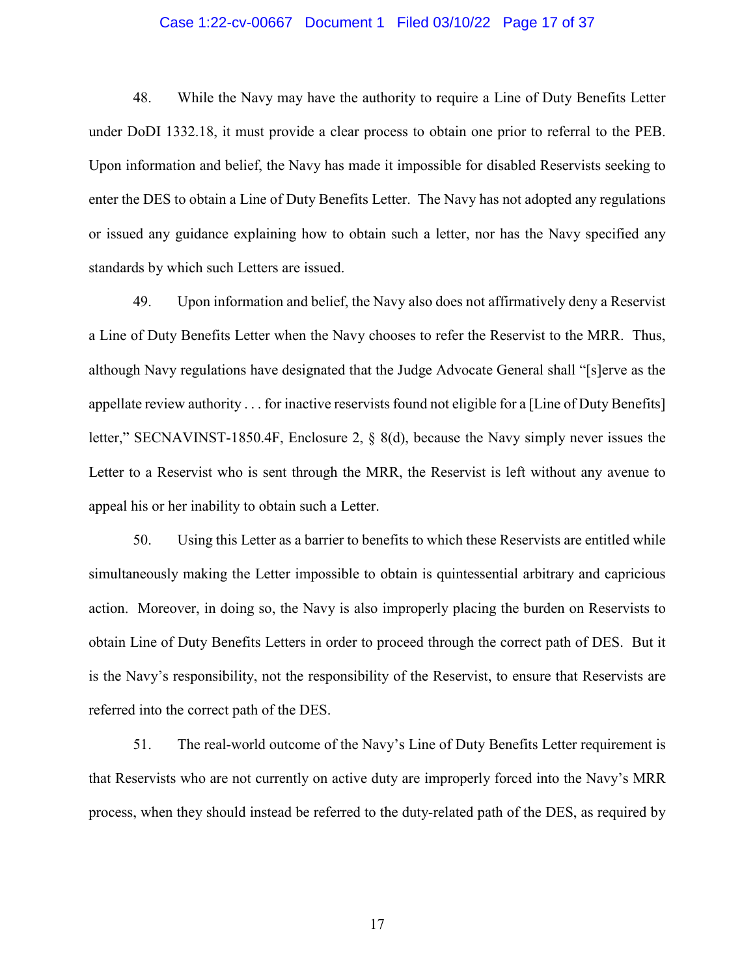## Case 1:22-cv-00667 Document 1 Filed 03/10/22 Page 17 of 37

48. While the Navy may have the authority to require a Line of Duty Benefits Letter under DoDI 1332.18, it must provide a clear process to obtain one prior to referral to the PEB. Upon information and belief, the Navy has made it impossible for disabled Reservists seeking to enter the DES to obtain a Line of Duty Benefits Letter. The Navy has not adopted any regulations or issued any guidance explaining how to obtain such a letter, nor has the Navy specified any standards by which such Letters are issued.

49. Upon information and belief, the Navy also does not affirmatively deny a Reservist a Line of Duty Benefits Letter when the Navy chooses to refer the Reservist to the MRR. Thus, although Navy regulations have designated that the Judge Advocate General shall "[s]erve as the appellate review authority . . . for inactive reservists found not eligible for a [Line of Duty Benefits] letter," SECNAVINST-1850.4F, Enclosure 2, § 8(d), because the Navy simply never issues the Letter to a Reservist who is sent through the MRR, the Reservist is left without any avenue to appeal his or her inability to obtain such a Letter.

50. Using this Letter as a barrier to benefits to which these Reservists are entitled while simultaneously making the Letter impossible to obtain is quintessential arbitrary and capricious action. Moreover, in doing so, the Navy is also improperly placing the burden on Reservists to obtain Line of Duty Benefits Letters in order to proceed through the correct path of DES. But it is the Navy's responsibility, not the responsibility of the Reservist, to ensure that Reservists are referred into the correct path of the DES.

51. The real-world outcome of the Navy's Line of Duty Benefits Letter requirement is that Reservists who are not currently on active duty are improperly forced into the Navy's MRR process, when they should instead be referred to the duty-related path of the DES, as required by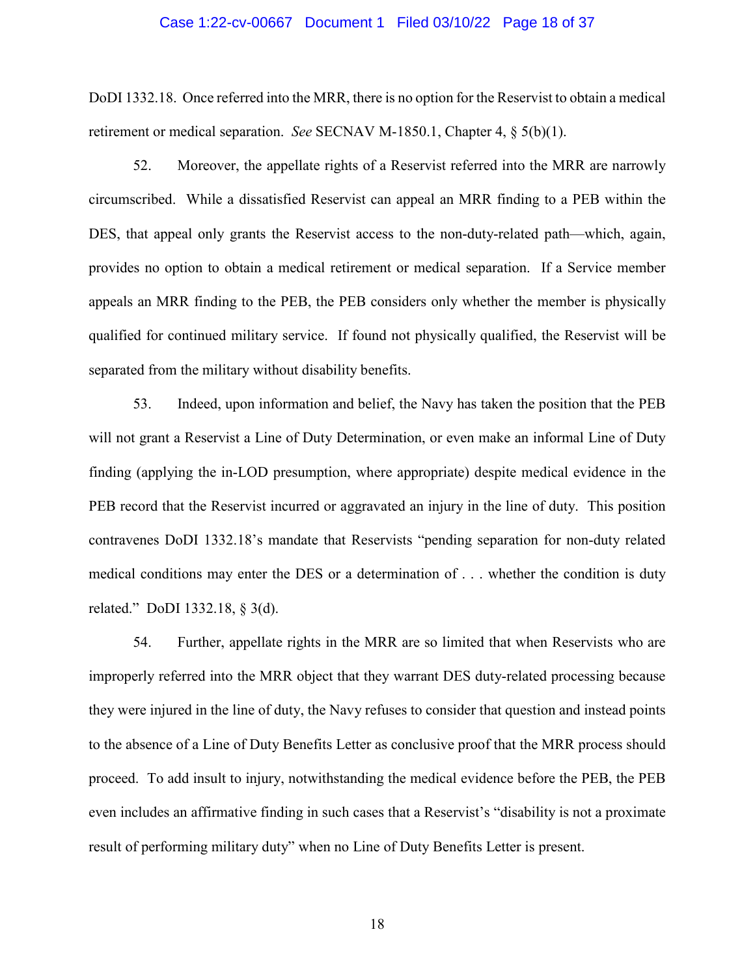#### Case 1:22-cv-00667 Document 1 Filed 03/10/22 Page 18 of 37

DoDI 1332.18. Once referred into the MRR, there is no option for the Reservist to obtain a medical retirement or medical separation. *See* SECNAV M-1850.1, Chapter 4, § 5(b)(1).

52. Moreover, the appellate rights of a Reservist referred into the MRR are narrowly circumscribed. While a dissatisfied Reservist can appeal an MRR finding to a PEB within the DES, that appeal only grants the Reservist access to the non-duty-related path—which, again, provides no option to obtain a medical retirement or medical separation. If a Service member appeals an MRR finding to the PEB, the PEB considers only whether the member is physically qualified for continued military service. If found not physically qualified, the Reservist will be separated from the military without disability benefits.

53. Indeed, upon information and belief, the Navy has taken the position that the PEB will not grant a Reservist a Line of Duty Determination, or even make an informal Line of Duty finding (applying the in-LOD presumption, where appropriate) despite medical evidence in the PEB record that the Reservist incurred or aggravated an injury in the line of duty. This position contravenes DoDI 1332.18's mandate that Reservists "pending separation for non-duty related medical conditions may enter the DES or a determination of . . . whether the condition is duty related." DoDI 1332.18, § 3(d).

54. Further, appellate rights in the MRR are so limited that when Reservists who are improperly referred into the MRR object that they warrant DES duty-related processing because they were injured in the line of duty, the Navy refuses to consider that question and instead points to the absence of a Line of Duty Benefits Letter as conclusive proof that the MRR process should proceed. To add insult to injury, notwithstanding the medical evidence before the PEB, the PEB even includes an affirmative finding in such cases that a Reservist's "disability is not a proximate result of performing military duty" when no Line of Duty Benefits Letter is present.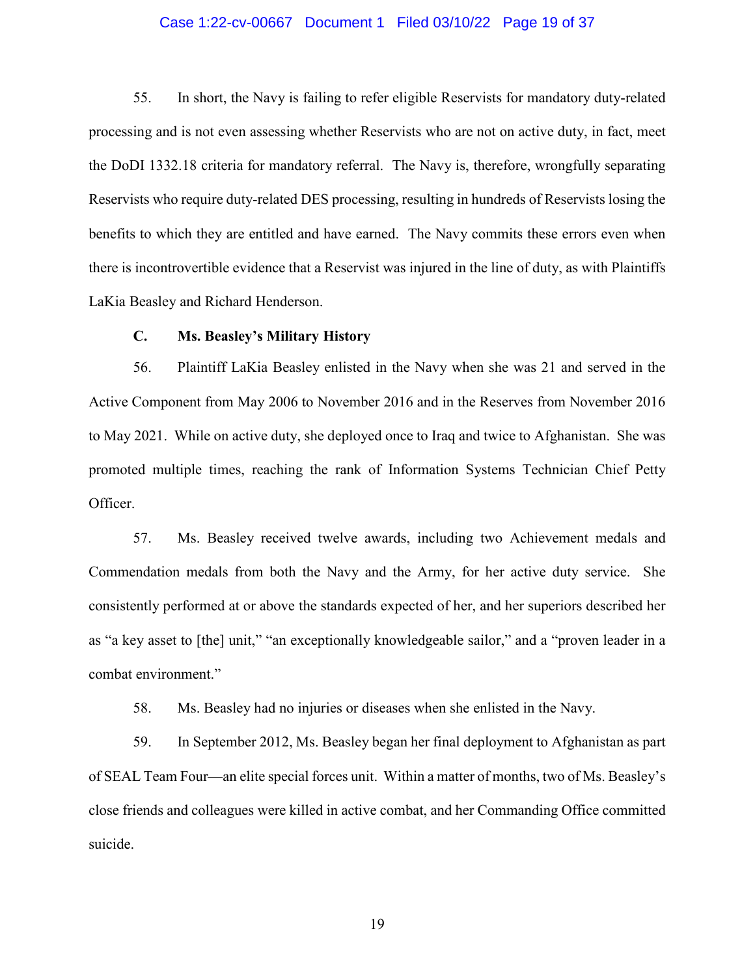## Case 1:22-cv-00667 Document 1 Filed 03/10/22 Page 19 of 37

55. In short, the Navy is failing to refer eligible Reservists for mandatory duty-related processing and is not even assessing whether Reservists who are not on active duty, in fact, meet the DoDI 1332.18 criteria for mandatory referral. The Navy is, therefore, wrongfully separating Reservists who require duty-related DES processing, resulting in hundreds of Reservists losing the benefits to which they are entitled and have earned. The Navy commits these errors even when there is incontrovertible evidence that a Reservist was injured in the line of duty, as with Plaintiffs LaKia Beasley and Richard Henderson.

## **C. Ms. Beasley's Military History**

56. Plaintiff LaKia Beasley enlisted in the Navy when she was 21 and served in the Active Component from May 2006 to November 2016 and in the Reserves from November 2016 to May 2021. While on active duty, she deployed once to Iraq and twice to Afghanistan. She was promoted multiple times, reaching the rank of Information Systems Technician Chief Petty Officer.

57. Ms. Beasley received twelve awards, including two Achievement medals and Commendation medals from both the Navy and the Army, for her active duty service. She consistently performed at or above the standards expected of her, and her superiors described her as "a key asset to [the] unit," "an exceptionally knowledgeable sailor," and a "proven leader in a combat environment."

58. Ms. Beasley had no injuries or diseases when she enlisted in the Navy.

59. In September 2012, Ms. Beasley began her final deployment to Afghanistan as part of SEAL Team Four—an elite special forces unit. Within a matter of months, two of Ms. Beasley's close friends and colleagues were killed in active combat, and her Commanding Office committed suicide.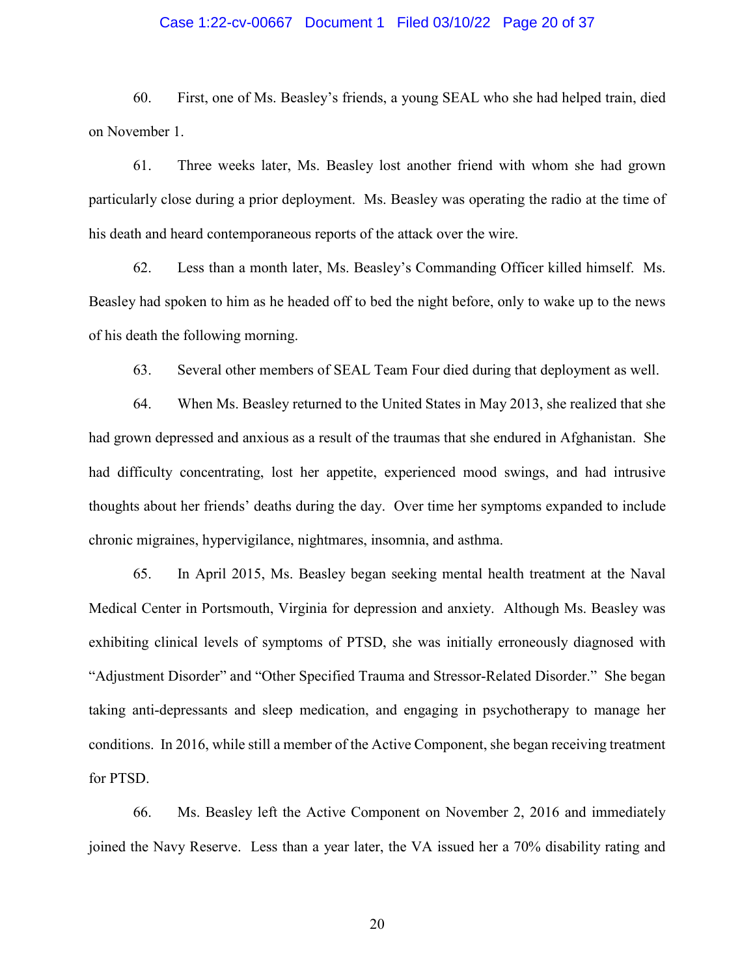## Case 1:22-cv-00667 Document 1 Filed 03/10/22 Page 20 of 37

60. First, one of Ms. Beasley's friends, a young SEAL who she had helped train, died on November 1.

61. Three weeks later, Ms. Beasley lost another friend with whom she had grown particularly close during a prior deployment. Ms. Beasley was operating the radio at the time of his death and heard contemporaneous reports of the attack over the wire.

62. Less than a month later, Ms. Beasley's Commanding Officer killed himself. Ms. Beasley had spoken to him as he headed off to bed the night before, only to wake up to the news of his death the following morning.

63. Several other members of SEAL Team Four died during that deployment as well.

64. When Ms. Beasley returned to the United States in May 2013, she realized that she had grown depressed and anxious as a result of the traumas that she endured in Afghanistan. She had difficulty concentrating, lost her appetite, experienced mood swings, and had intrusive thoughts about her friends' deaths during the day. Over time her symptoms expanded to include chronic migraines, hypervigilance, nightmares, insomnia, and asthma.

65. In April 2015, Ms. Beasley began seeking mental health treatment at the Naval Medical Center in Portsmouth, Virginia for depression and anxiety. Although Ms. Beasley was exhibiting clinical levels of symptoms of PTSD, she was initially erroneously diagnosed with "Adjustment Disorder" and "Other Specified Trauma and Stressor-Related Disorder." She began taking anti-depressants and sleep medication, and engaging in psychotherapy to manage her conditions. In 2016, while still a member of the Active Component, she began receiving treatment for PTSD.

66. Ms. Beasley left the Active Component on November 2, 2016 and immediately joined the Navy Reserve. Less than a year later, the VA issued her a 70% disability rating and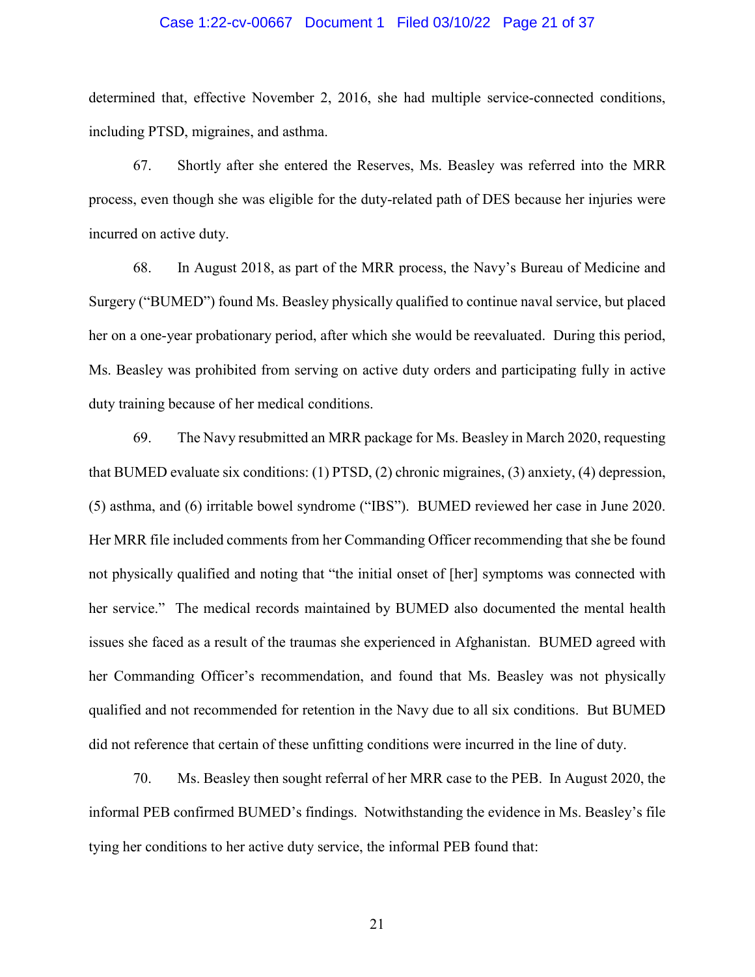## Case 1:22-cv-00667 Document 1 Filed 03/10/22 Page 21 of 37

determined that, effective November 2, 2016, she had multiple service-connected conditions, including PTSD, migraines, and asthma.

67. Shortly after she entered the Reserves, Ms. Beasley was referred into the MRR process, even though she was eligible for the duty-related path of DES because her injuries were incurred on active duty.

68. In August 2018, as part of the MRR process, the Navy's Bureau of Medicine and Surgery ("BUMED") found Ms. Beasley physically qualified to continue naval service, but placed her on a one-year probationary period, after which she would be reevaluated. During this period, Ms. Beasley was prohibited from serving on active duty orders and participating fully in active duty training because of her medical conditions.

69. The Navy resubmitted an MRR package for Ms. Beasley in March 2020, requesting that BUMED evaluate six conditions: (1) PTSD, (2) chronic migraines, (3) anxiety, (4) depression, (5) asthma, and (6) irritable bowel syndrome ("IBS"). BUMED reviewed her case in June 2020. Her MRR file included comments from her Commanding Officer recommending that she be found not physically qualified and noting that "the initial onset of [her] symptoms was connected with her service." The medical records maintained by BUMED also documented the mental health issues she faced as a result of the traumas she experienced in Afghanistan. BUMED agreed with her Commanding Officer's recommendation, and found that Ms. Beasley was not physically qualified and not recommended for retention in the Navy due to all six conditions. But BUMED did not reference that certain of these unfitting conditions were incurred in the line of duty.

70. Ms. Beasley then sought referral of her MRR case to the PEB. In August 2020, the informal PEB confirmed BUMED's findings. Notwithstanding the evidence in Ms. Beasley's file tying her conditions to her active duty service, the informal PEB found that: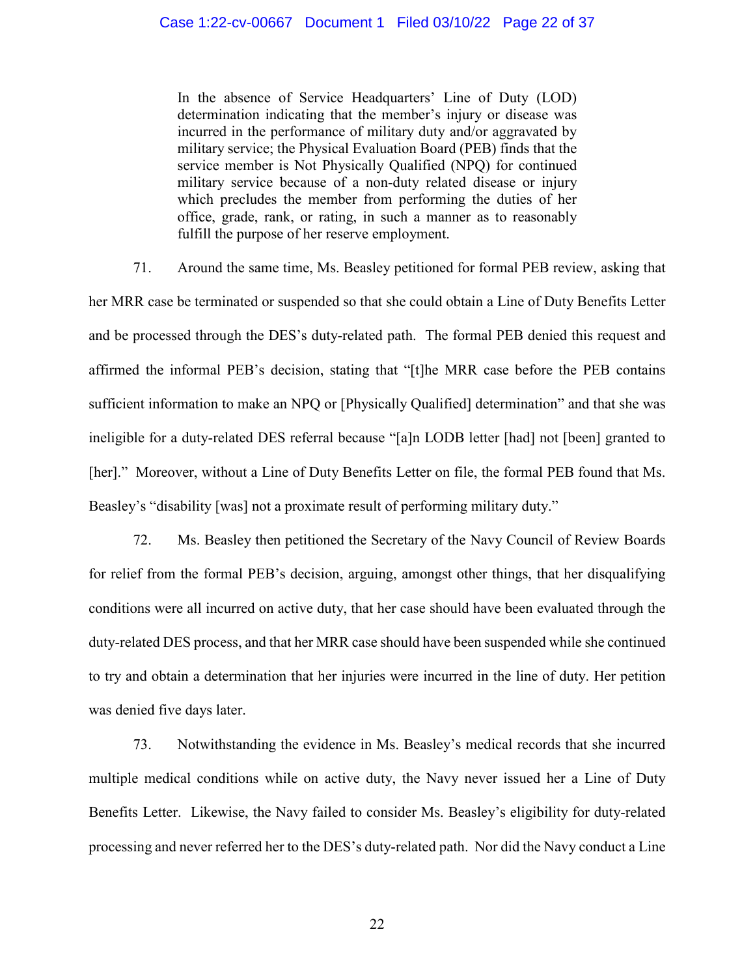## Case 1:22-cv-00667 Document 1 Filed 03/10/22 Page 22 of 37

In the absence of Service Headquarters' Line of Duty (LOD) determination indicating that the member's injury or disease was incurred in the performance of military duty and/or aggravated by military service; the Physical Evaluation Board (PEB) finds that the service member is Not Physically Qualified (NPQ) for continued military service because of a non-duty related disease or injury which precludes the member from performing the duties of her office, grade, rank, or rating, in such a manner as to reasonably fulfill the purpose of her reserve employment.

71. Around the same time, Ms. Beasley petitioned for formal PEB review, asking that her MRR case be terminated or suspended so that she could obtain a Line of Duty Benefits Letter and be processed through the DES's duty-related path. The formal PEB denied this request and affirmed the informal PEB's decision, stating that "[t]he MRR case before the PEB contains sufficient information to make an NPQ or [Physically Qualified] determination" and that she was ineligible for a duty-related DES referral because "[a]n LODB letter [had] not [been] granted to [her]." Moreover, without a Line of Duty Benefits Letter on file, the formal PEB found that Ms. Beasley's "disability [was] not a proximate result of performing military duty."

72. Ms. Beasley then petitioned the Secretary of the Navy Council of Review Boards for relief from the formal PEB's decision, arguing, amongst other things, that her disqualifying conditions were all incurred on active duty, that her case should have been evaluated through the duty-related DES process, and that her MRR case should have been suspended while she continued to try and obtain a determination that her injuries were incurred in the line of duty. Her petition was denied five days later.

73. Notwithstanding the evidence in Ms. Beasley's medical records that she incurred multiple medical conditions while on active duty, the Navy never issued her a Line of Duty Benefits Letter. Likewise, the Navy failed to consider Ms. Beasley's eligibility for duty-related processing and never referred her to the DES's duty-related path. Nor did the Navy conduct a Line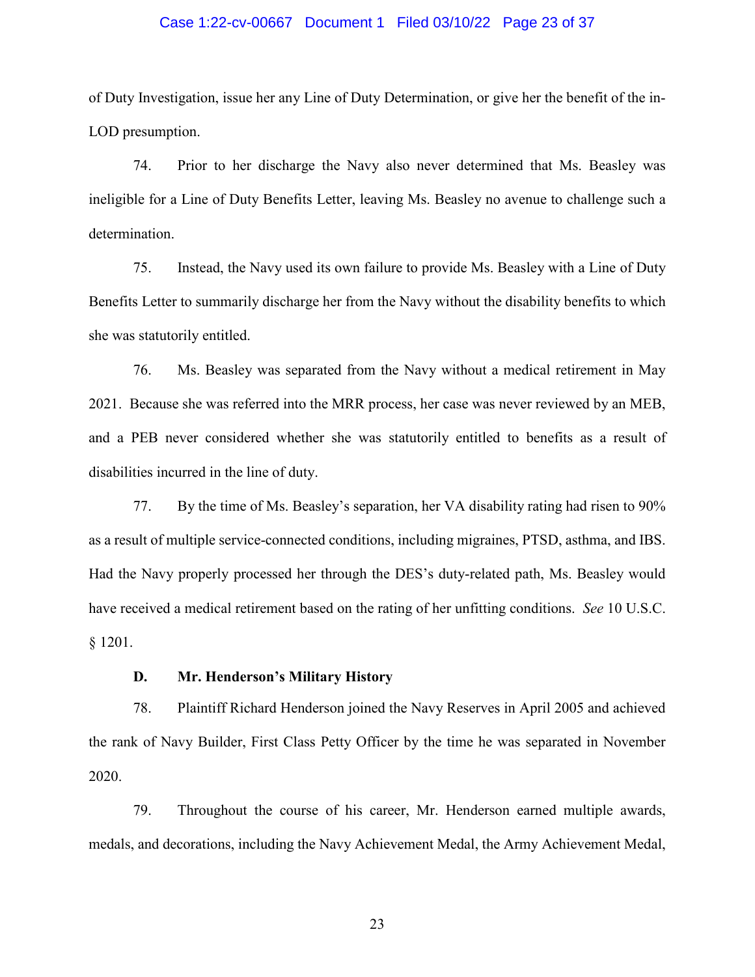## Case 1:22-cv-00667 Document 1 Filed 03/10/22 Page 23 of 37

of Duty Investigation, issue her any Line of Duty Determination, or give her the benefit of the in-LOD presumption.

74. Prior to her discharge the Navy also never determined that Ms. Beasley was ineligible for a Line of Duty Benefits Letter, leaving Ms. Beasley no avenue to challenge such a determination.

75. Instead, the Navy used its own failure to provide Ms. Beasley with a Line of Duty Benefits Letter to summarily discharge her from the Navy without the disability benefits to which she was statutorily entitled.

76. Ms. Beasley was separated from the Navy without a medical retirement in May 2021. Because she was referred into the MRR process, her case was never reviewed by an MEB, and a PEB never considered whether she was statutorily entitled to benefits as a result of disabilities incurred in the line of duty.

77. By the time of Ms. Beasley's separation, her VA disability rating had risen to 90% as a result of multiple service-connected conditions, including migraines, PTSD, asthma, and IBS. Had the Navy properly processed her through the DES's duty-related path, Ms. Beasley would have received a medical retirement based on the rating of her unfitting conditions. *See* 10 U.S.C. § 1201.

## **D. Mr. Henderson's Military History**

78. Plaintiff Richard Henderson joined the Navy Reserves in April 2005 and achieved the rank of Navy Builder, First Class Petty Officer by the time he was separated in November 2020.

79. Throughout the course of his career, Mr. Henderson earned multiple awards, medals, and decorations, including the Navy Achievement Medal, the Army Achievement Medal,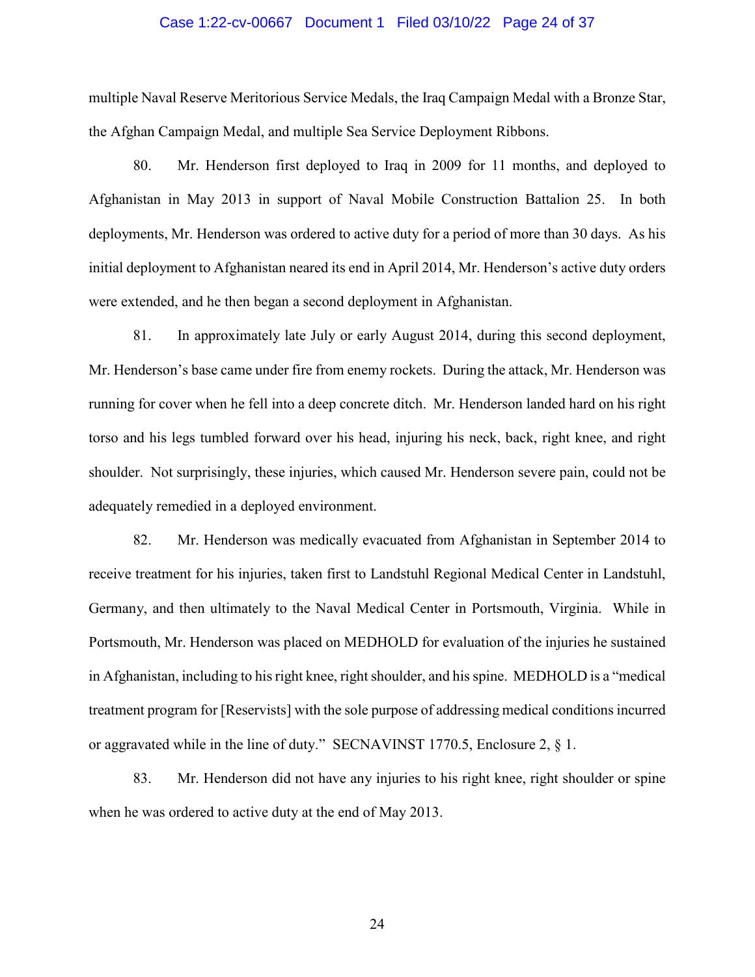## Case 1:22-cv-00667 Document 1 Filed 03/10/22 Page 24 of 37

multiple Naval Reserve Meritorious Service Medals, the Iraq Campaign Medal with a Bronze Star, the Afghan Campaign Medal, and multiple Sea Service Deployment Ribbons.

80. Mr. Henderson first deployed to Iraq in 2009 for 11 months, and deployed to Afghanistan in May 2013 in support of Naval Mobile Construction Battalion 25. In both deployments, Mr. Henderson was ordered to active duty for a period of more than 30 days. As his initial deployment to Afghanistan neared its end in April 2014, Mr. Henderson's active duty orders were extended, and he then began a second deployment in Afghanistan.

81. In approximately late July or early August 2014, during this second deployment, Mr. Henderson's base came under fire from enemy rockets. During the attack, Mr. Henderson was running for cover when he fell into a deep concrete ditch. Mr. Henderson landed hard on his right torso and his legs tumbled forward over his head, injuring his neck, back, right knee, and right shoulder. Not surprisingly, these injuries, which caused Mr. Henderson severe pain, could not be adequately remedied in a deployed environment.

82. Mr. Henderson was medically evacuated from Afghanistan in September 2014 to receive treatment for his injuries, taken first to Landstuhl Regional Medical Center in Landstuhl, Germany, and then ultimately to the Naval Medical Center in Portsmouth, Virginia. While in Portsmouth, Mr. Henderson was placed on MEDHOLD for evaluation of the injuries he sustained in Afghanistan, including to his right knee, right shoulder, and his spine. MEDHOLD is a "medical treatment program for [Reservists] with the sole purpose of addressing medical conditions incurred or aggravated while in the line of duty." SECNAVINST 1770.5, Enclosure 2, § 1.

83. Mr. Henderson did not have any injuries to his right knee, right shoulder or spine when he was ordered to active duty at the end of May 2013.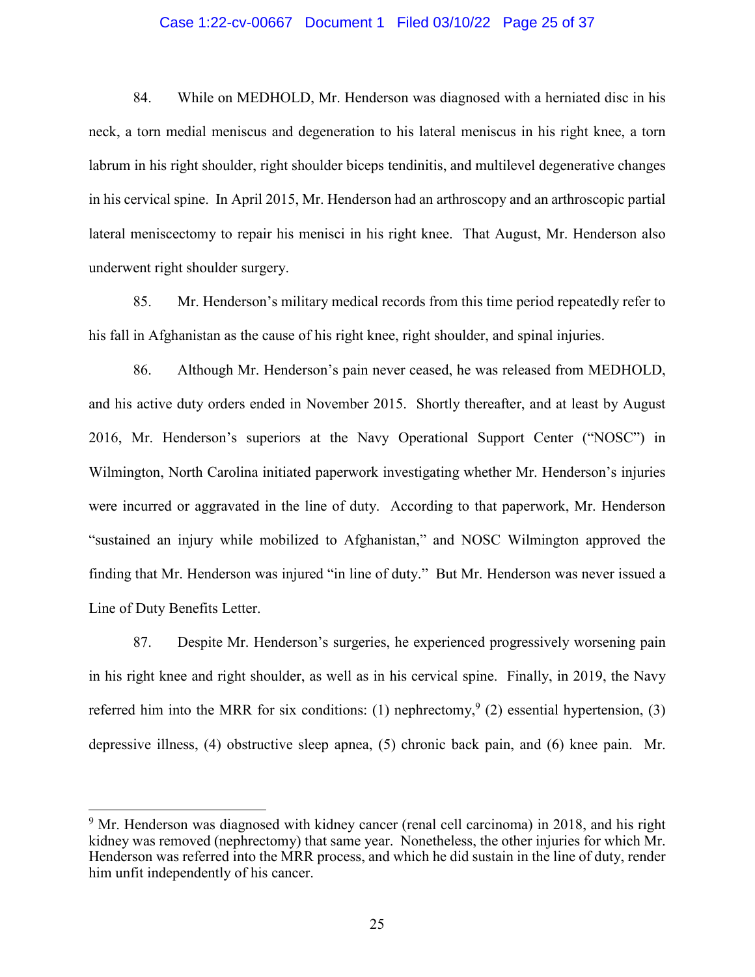## Case 1:22-cv-00667 Document 1 Filed 03/10/22 Page 25 of 37

84. While on MEDHOLD, Mr. Henderson was diagnosed with a herniated disc in his neck, a torn medial meniscus and degeneration to his lateral meniscus in his right knee, a torn labrum in his right shoulder, right shoulder biceps tendinitis, and multilevel degenerative changes in his cervical spine. In April 2015, Mr. Henderson had an arthroscopy and an arthroscopic partial lateral meniscectomy to repair his menisci in his right knee. That August, Mr. Henderson also underwent right shoulder surgery.

85. Mr. Henderson's military medical records from this time period repeatedly refer to his fall in Afghanistan as the cause of his right knee, right shoulder, and spinal injuries.

86. Although Mr. Henderson's pain never ceased, he was released from MEDHOLD, and his active duty orders ended in November 2015. Shortly thereafter, and at least by August 2016, Mr. Henderson's superiors at the Navy Operational Support Center ("NOSC") in Wilmington, North Carolina initiated paperwork investigating whether Mr. Henderson's injuries were incurred or aggravated in the line of duty. According to that paperwork, Mr. Henderson "sustained an injury while mobilized to Afghanistan," and NOSC Wilmington approved the finding that Mr. Henderson was injured "in line of duty." But Mr. Henderson was never issued a Line of Duty Benefits Letter.

87. Despite Mr. Henderson's surgeries, he experienced progressively worsening pain in his right knee and right shoulder, as well as in his cervical spine. Finally, in 2019, the Navy referred him into the MRR for six conditions: (1) nephrectomy,  $(2)$  essential hypertension, (3) depressive illness, (4) obstructive sleep apnea, (5) chronic back pain, and (6) knee pain. Mr.

<sup>&</sup>lt;sup>9</sup> Mr. Henderson was diagnosed with kidney cancer (renal cell carcinoma) in 2018, and his right kidney was removed (nephrectomy) that same year. Nonetheless, the other injuries for which Mr. Henderson was referred into the MRR process, and which he did sustain in the line of duty, render him unfit independently of his cancer.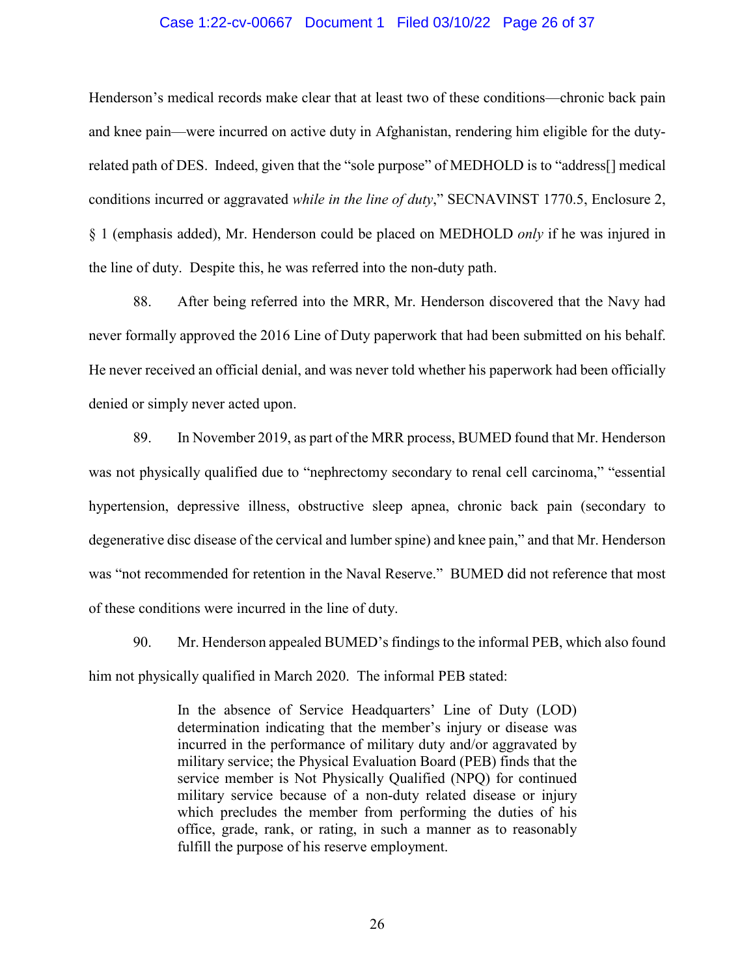## Case 1:22-cv-00667 Document 1 Filed 03/10/22 Page 26 of 37

Henderson's medical records make clear that at least two of these conditions—chronic back pain and knee pain—were incurred on active duty in Afghanistan, rendering him eligible for the dutyrelated path of DES. Indeed, given that the "sole purpose" of MEDHOLD is to "address[] medical conditions incurred or aggravated *while in the line of duty*," SECNAVINST 1770.5, Enclosure 2, § 1 (emphasis added), Mr. Henderson could be placed on MEDHOLD *only* if he was injured in the line of duty. Despite this, he was referred into the non-duty path.

88. After being referred into the MRR, Mr. Henderson discovered that the Navy had never formally approved the 2016 Line of Duty paperwork that had been submitted on his behalf. He never received an official denial, and was never told whether his paperwork had been officially denied or simply never acted upon.

89. In November 2019, as part of the MRR process, BUMED found that Mr. Henderson was not physically qualified due to "nephrectomy secondary to renal cell carcinoma," "essential hypertension, depressive illness, obstructive sleep apnea, chronic back pain (secondary to degenerative disc disease of the cervical and lumber spine) and knee pain," and that Mr. Henderson was "not recommended for retention in the Naval Reserve." BUMED did not reference that most of these conditions were incurred in the line of duty.

90. Mr. Henderson appealed BUMED's findings to the informal PEB, which also found him not physically qualified in March 2020. The informal PEB stated:

> In the absence of Service Headquarters' Line of Duty (LOD) determination indicating that the member's injury or disease was incurred in the performance of military duty and/or aggravated by military service; the Physical Evaluation Board (PEB) finds that the service member is Not Physically Qualified (NPQ) for continued military service because of a non-duty related disease or injury which precludes the member from performing the duties of his office, grade, rank, or rating, in such a manner as to reasonably fulfill the purpose of his reserve employment.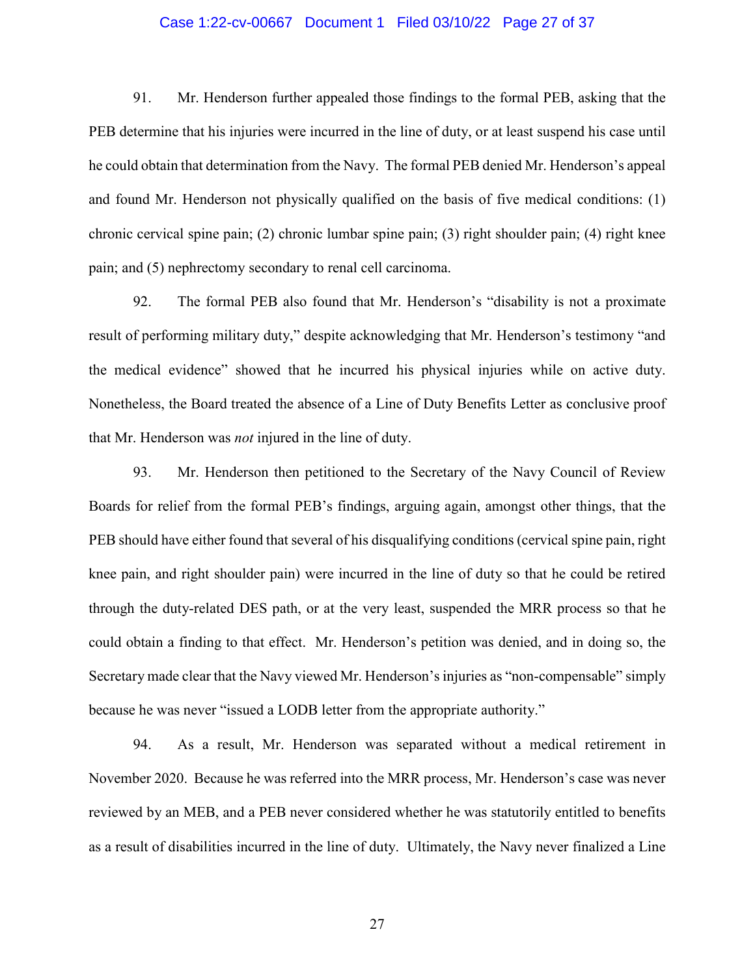## Case 1:22-cv-00667 Document 1 Filed 03/10/22 Page 27 of 37

91. Mr. Henderson further appealed those findings to the formal PEB, asking that the PEB determine that his injuries were incurred in the line of duty, or at least suspend his case until he could obtain that determination from the Navy. The formal PEB denied Mr. Henderson's appeal and found Mr. Henderson not physically qualified on the basis of five medical conditions: (1) chronic cervical spine pain; (2) chronic lumbar spine pain; (3) right shoulder pain; (4) right knee pain; and (5) nephrectomy secondary to renal cell carcinoma.

92. The formal PEB also found that Mr. Henderson's "disability is not a proximate result of performing military duty," despite acknowledging that Mr. Henderson's testimony "and the medical evidence" showed that he incurred his physical injuries while on active duty. Nonetheless, the Board treated the absence of a Line of Duty Benefits Letter as conclusive proof that Mr. Henderson was *not* injured in the line of duty.

93. Mr. Henderson then petitioned to the Secretary of the Navy Council of Review Boards for relief from the formal PEB's findings, arguing again, amongst other things, that the PEB should have either found that several of his disqualifying conditions (cervical spine pain, right knee pain, and right shoulder pain) were incurred in the line of duty so that he could be retired through the duty-related DES path, or at the very least, suspended the MRR process so that he could obtain a finding to that effect. Mr. Henderson's petition was denied, and in doing so, the Secretary made clear that the Navy viewed Mr. Henderson's injuries as "non-compensable" simply because he was never "issued a LODB letter from the appropriate authority."

94. As a result, Mr. Henderson was separated without a medical retirement in November 2020. Because he was referred into the MRR process, Mr. Henderson's case was never reviewed by an MEB, and a PEB never considered whether he was statutorily entitled to benefits as a result of disabilities incurred in the line of duty. Ultimately, the Navy never finalized a Line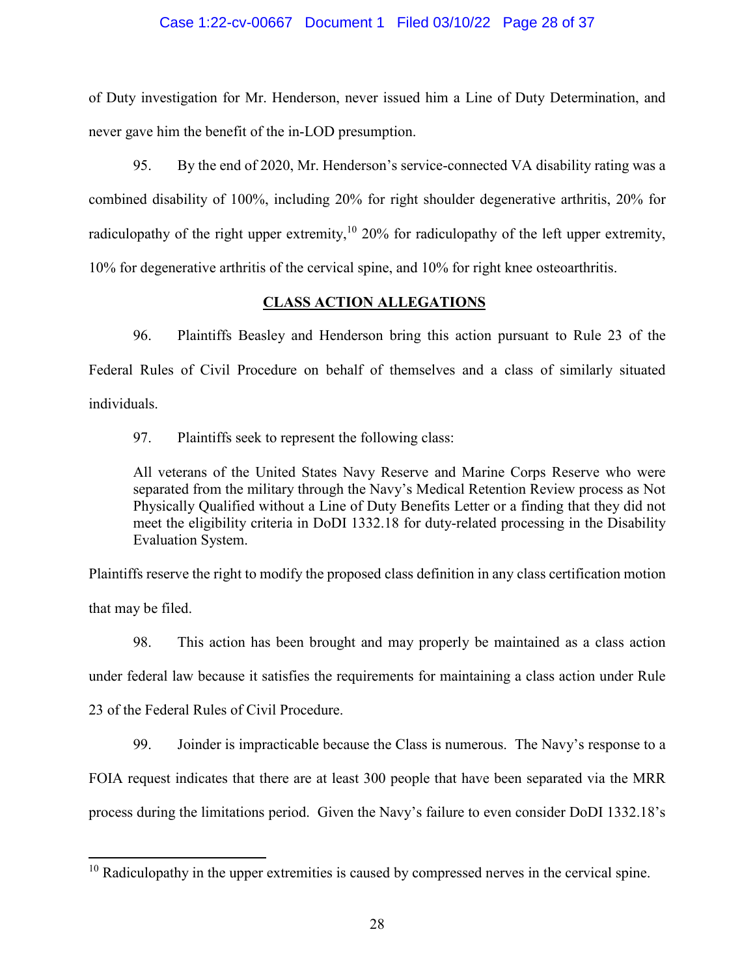## Case 1:22-cv-00667 Document 1 Filed 03/10/22 Page 28 of 37

of Duty investigation for Mr. Henderson, never issued him a Line of Duty Determination, and never gave him the benefit of the in-LOD presumption.

95. By the end of 2020, Mr. Henderson's service-connected VA disability rating was a combined disability of 100%, including 20% for right shoulder degenerative arthritis, 20% for radiculopathy of the right upper extremity,<sup>10</sup> 20% for radiculopathy of the left upper extremity, 10% for degenerative arthritis of the cervical spine, and 10% for right knee osteoarthritis.

## **CLASS ACTION ALLEGATIONS**

96. Plaintiffs Beasley and Henderson bring this action pursuant to Rule 23 of the Federal Rules of Civil Procedure on behalf of themselves and a class of similarly situated individuals.

97. Plaintiffs seek to represent the following class:

All veterans of the United States Navy Reserve and Marine Corps Reserve who were separated from the military through the Navy's Medical Retention Review process as Not Physically Qualified without a Line of Duty Benefits Letter or a finding that they did not meet the eligibility criteria in DoDI 1332.18 for duty-related processing in the Disability Evaluation System.

Plaintiffs reserve the right to modify the proposed class definition in any class certification motion that may be filed.

98. This action has been brought and may properly be maintained as a class action under federal law because it satisfies the requirements for maintaining a class action under Rule 23 of the Federal Rules of Civil Procedure.

99. Joinder is impracticable because the Class is numerous. The Navy's response to a FOIA request indicates that there are at least 300 people that have been separated via the MRR process during the limitations period. Given the Navy's failure to even consider DoDI 1332.18's

 $10$  Radiculopathy in the upper extremities is caused by compressed nerves in the cervical spine.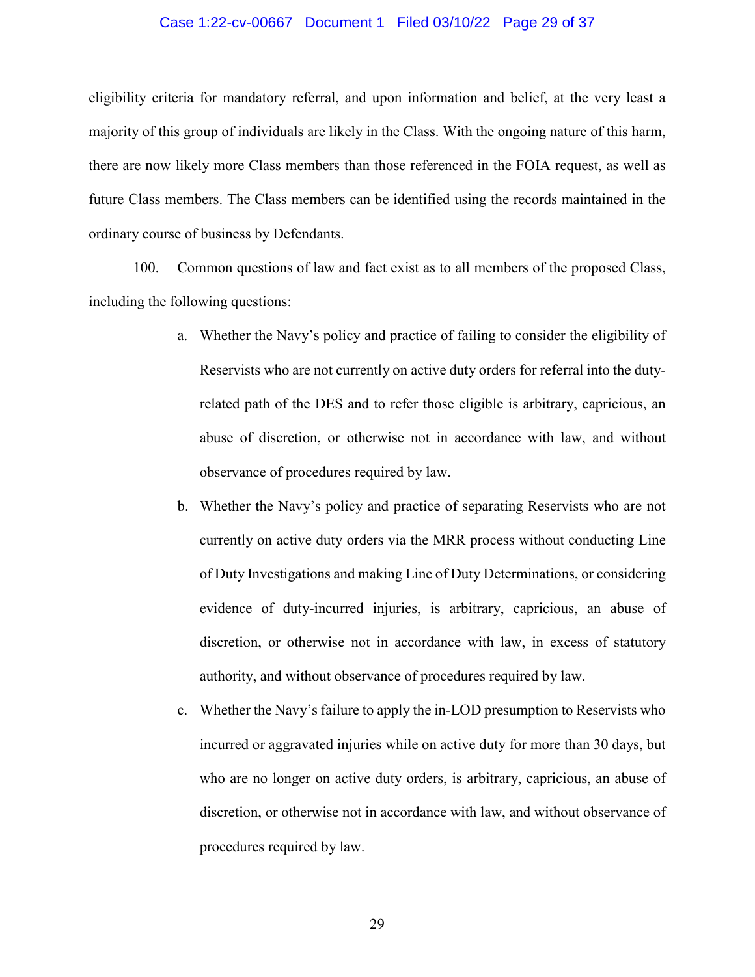### Case 1:22-cv-00667 Document 1 Filed 03/10/22 Page 29 of 37

eligibility criteria for mandatory referral, and upon information and belief, at the very least a majority of this group of individuals are likely in the Class. With the ongoing nature of this harm, there are now likely more Class members than those referenced in the FOIA request, as well as future Class members. The Class members can be identified using the records maintained in the ordinary course of business by Defendants.

100. Common questions of law and fact exist as to all members of the proposed Class, including the following questions:

- a. Whether the Navy's policy and practice of failing to consider the eligibility of Reservists who are not currently on active duty orders for referral into the dutyrelated path of the DES and to refer those eligible is arbitrary, capricious, an abuse of discretion, or otherwise not in accordance with law, and without observance of procedures required by law.
- b. Whether the Navy's policy and practice of separating Reservists who are not currently on active duty orders via the MRR process without conducting Line of Duty Investigations and making Line of Duty Determinations, or considering evidence of duty-incurred injuries, is arbitrary, capricious, an abuse of discretion, or otherwise not in accordance with law, in excess of statutory authority, and without observance of procedures required by law.
- c. Whether the Navy's failure to apply the in-LOD presumption to Reservists who incurred or aggravated injuries while on active duty for more than 30 days, but who are no longer on active duty orders, is arbitrary, capricious, an abuse of discretion, or otherwise not in accordance with law, and without observance of procedures required by law.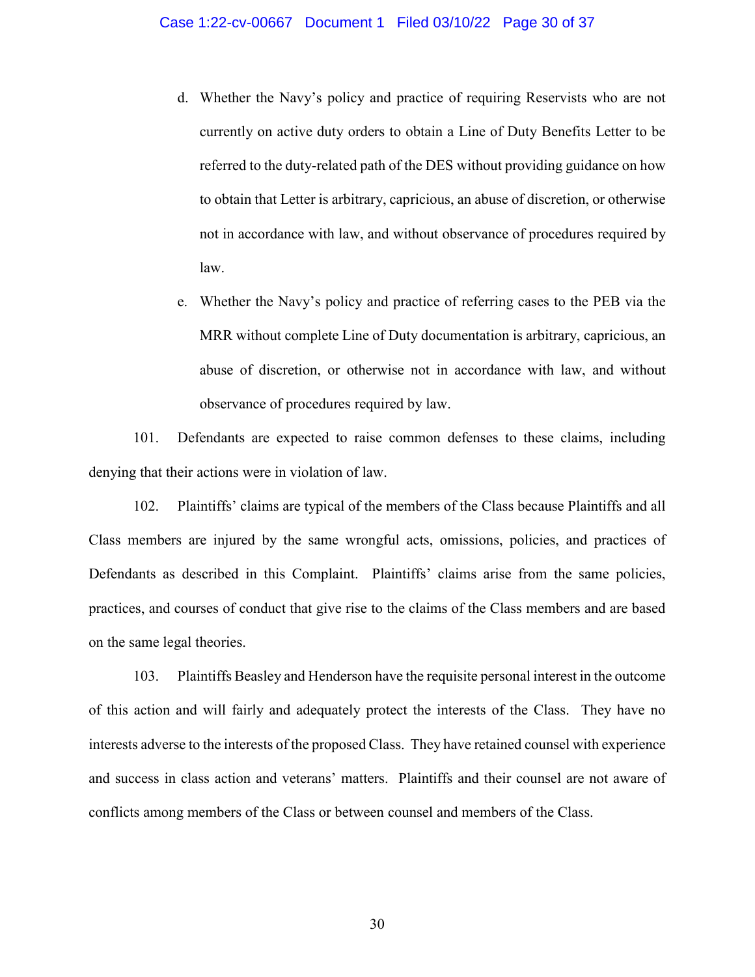- d. Whether the Navy's policy and practice of requiring Reservists who are not currently on active duty orders to obtain a Line of Duty Benefits Letter to be referred to the duty-related path of the DES without providing guidance on how to obtain that Letter is arbitrary, capricious, an abuse of discretion, or otherwise not in accordance with law, and without observance of procedures required by law.
- e. Whether the Navy's policy and practice of referring cases to the PEB via the MRR without complete Line of Duty documentation is arbitrary, capricious, an abuse of discretion, or otherwise not in accordance with law, and without observance of procedures required by law.

101. Defendants are expected to raise common defenses to these claims, including denying that their actions were in violation of law.

102. Plaintiffs' claims are typical of the members of the Class because Plaintiffs and all Class members are injured by the same wrongful acts, omissions, policies, and practices of Defendants as described in this Complaint. Plaintiffs' claims arise from the same policies, practices, and courses of conduct that give rise to the claims of the Class members and are based on the same legal theories.

103. Plaintiffs Beasley and Henderson have the requisite personal interest in the outcome of this action and will fairly and adequately protect the interests of the Class. They have no interests adverse to the interests of the proposed Class. They have retained counsel with experience and success in class action and veterans' matters. Plaintiffs and their counsel are not aware of conflicts among members of the Class or between counsel and members of the Class.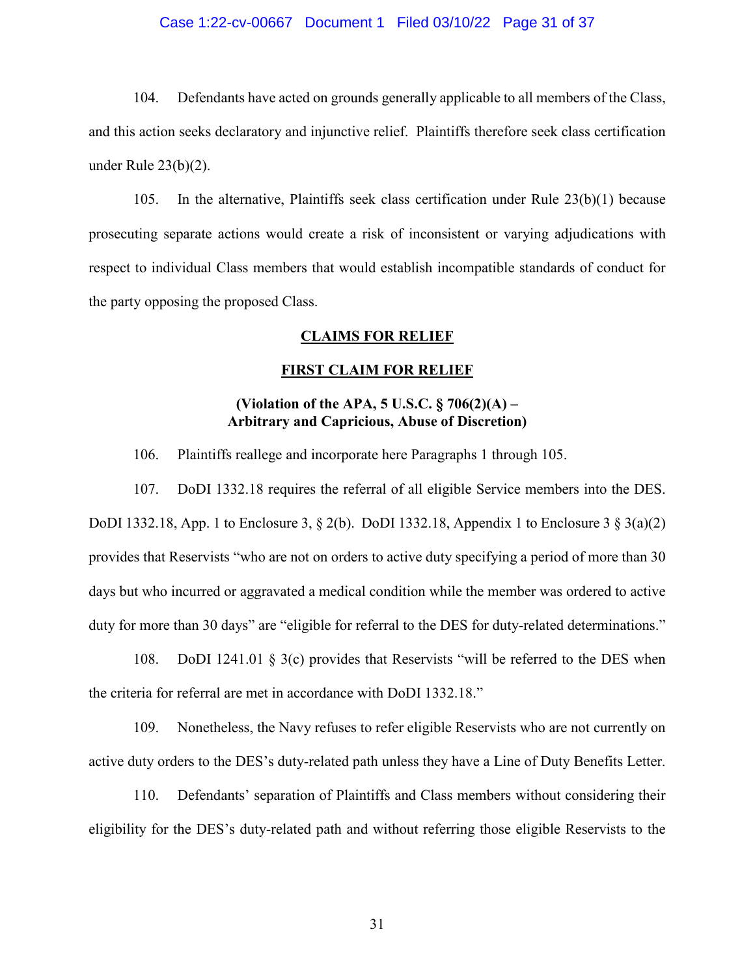## Case 1:22-cv-00667 Document 1 Filed 03/10/22 Page 31 of 37

104. Defendants have acted on grounds generally applicable to all members of the Class, and this action seeks declaratory and injunctive relief. Plaintiffs therefore seek class certification under Rule 23(b)(2).

105. In the alternative, Plaintiffs seek class certification under Rule 23(b)(1) because prosecuting separate actions would create a risk of inconsistent or varying adjudications with respect to individual Class members that would establish incompatible standards of conduct for the party opposing the proposed Class.

## **CLAIMS FOR RELIEF**

## **FIRST CLAIM FOR RELIEF**

# **(Violation of the APA, 5 U.S.C. § 706(2)(A) – Arbitrary and Capricious, Abuse of Discretion)**

106. Plaintiffs reallege and incorporate here Paragraphs 1 through 105.

107. DoDI 1332.18 requires the referral of all eligible Service members into the DES. DoDI 1332.18, App. 1 to Enclosure 3, § 2(b). DoDI 1332.18, Appendix 1 to Enclosure 3 § 3(a)(2) provides that Reservists "who are not on orders to active duty specifying a period of more than 30 days but who incurred or aggravated a medical condition while the member was ordered to active duty for more than 30 days" are "eligible for referral to the DES for duty-related determinations."

108. DoDI 1241.01 § 3(c) provides that Reservists "will be referred to the DES when the criteria for referral are met in accordance with DoDI 1332.18."

109. Nonetheless, the Navy refuses to refer eligible Reservists who are not currently on active duty orders to the DES's duty-related path unless they have a Line of Duty Benefits Letter.

110. Defendants' separation of Plaintiffs and Class members without considering their eligibility for the DES's duty-related path and without referring those eligible Reservists to the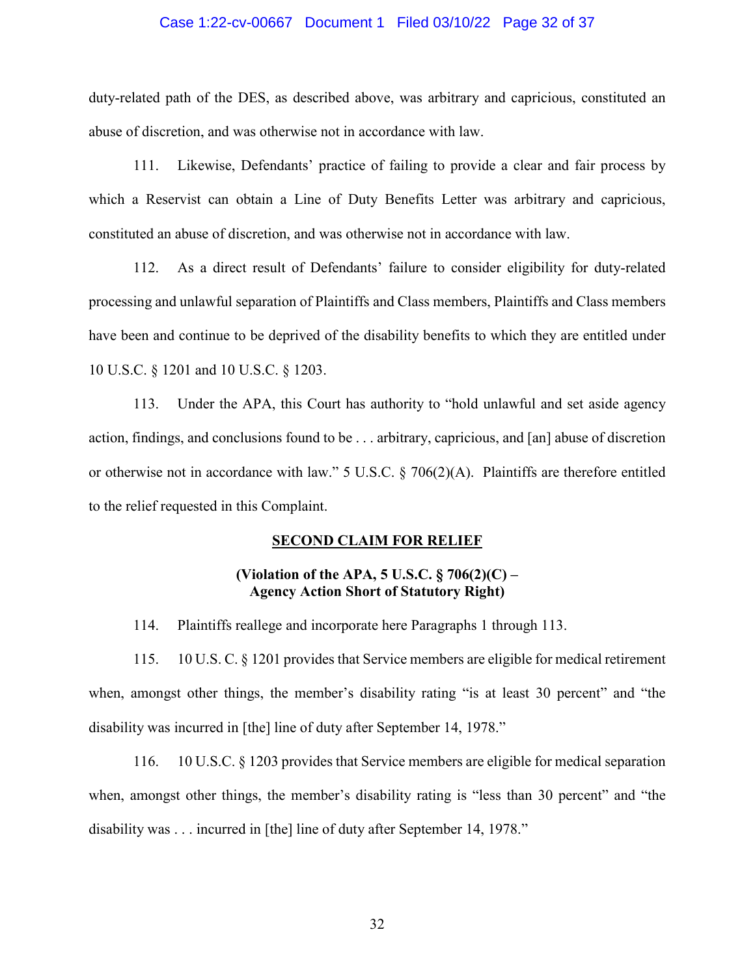## Case 1:22-cv-00667 Document 1 Filed 03/10/22 Page 32 of 37

duty-related path of the DES, as described above, was arbitrary and capricious, constituted an abuse of discretion, and was otherwise not in accordance with law.

111. Likewise, Defendants' practice of failing to provide a clear and fair process by which a Reservist can obtain a Line of Duty Benefits Letter was arbitrary and capricious, constituted an abuse of discretion, and was otherwise not in accordance with law.

112. As a direct result of Defendants' failure to consider eligibility for duty-related processing and unlawful separation of Plaintiffs and Class members, Plaintiffs and Class members have been and continue to be deprived of the disability benefits to which they are entitled under 10 U.S.C. § 1201 and 10 U.S.C. § 1203.

113. Under the APA, this Court has authority to "hold unlawful and set aside agency action, findings, and conclusions found to be . . . arbitrary, capricious, and [an] abuse of discretion or otherwise not in accordance with law." 5 U.S.C. § 706(2)(A). Plaintiffs are therefore entitled to the relief requested in this Complaint.

## **SECOND CLAIM FOR RELIEF**

## **(Violation of the APA, 5 U.S.C. § 706(2)(C) – Agency Action Short of Statutory Right)**

114. Plaintiffs reallege and incorporate here Paragraphs 1 through 113.

115. 10 U.S. C. § 1201 provides that Service members are eligible for medical retirement when, amongst other things, the member's disability rating "is at least 30 percent" and "the disability was incurred in [the] line of duty after September 14, 1978."

116. 10 U.S.C. § 1203 provides that Service members are eligible for medical separation when, amongst other things, the member's disability rating is "less than 30 percent" and "the disability was . . . incurred in [the] line of duty after September 14, 1978."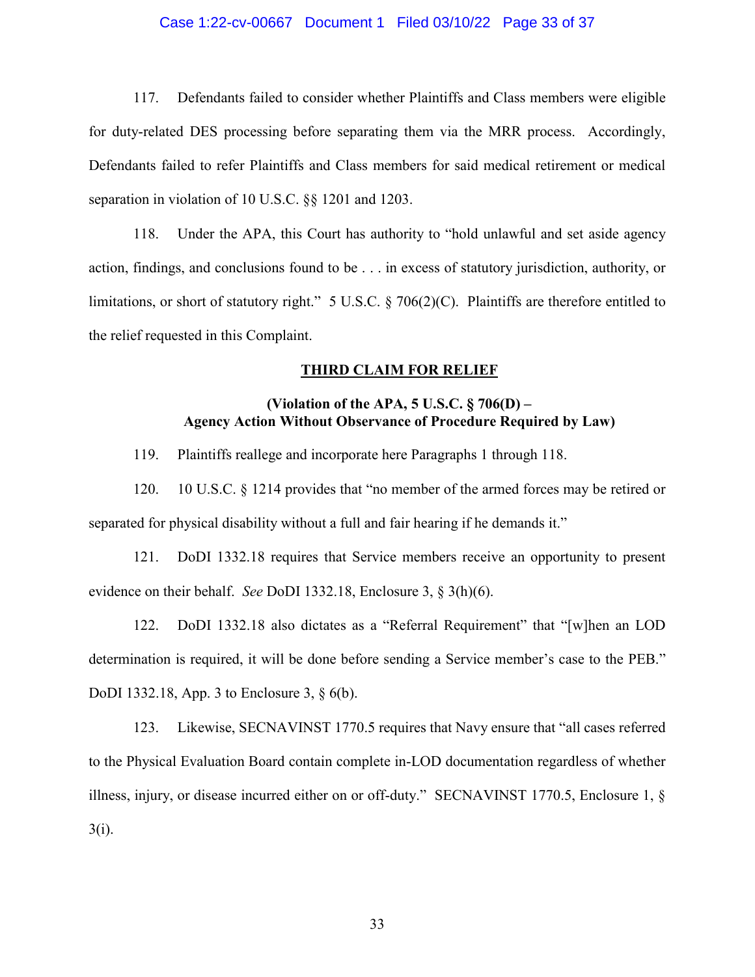## Case 1:22-cv-00667 Document 1 Filed 03/10/22 Page 33 of 37

117. Defendants failed to consider whether Plaintiffs and Class members were eligible for duty-related DES processing before separating them via the MRR process. Accordingly, Defendants failed to refer Plaintiffs and Class members for said medical retirement or medical separation in violation of 10 U.S.C. §§ 1201 and 1203.

118. Under the APA, this Court has authority to "hold unlawful and set aside agency action, findings, and conclusions found to be . . . in excess of statutory jurisdiction, authority, or limitations, or short of statutory right." 5 U.S.C. § 706(2)(C). Plaintiffs are therefore entitled to the relief requested in this Complaint.

#### **THIRD CLAIM FOR RELIEF**

# **(Violation of the APA, 5 U.S.C. § 706(D) – Agency Action Without Observance of Procedure Required by Law)**

119. Plaintiffs reallege and incorporate here Paragraphs 1 through 118.

120. 10 U.S.C. § 1214 provides that "no member of the armed forces may be retired or separated for physical disability without a full and fair hearing if he demands it."

121. DoDI 1332.18 requires that Service members receive an opportunity to present evidence on their behalf. *See* DoDI 1332.18, Enclosure 3, § 3(h)(6).

122. DoDI 1332.18 also dictates as a "Referral Requirement" that "[w]hen an LOD determination is required, it will be done before sending a Service member's case to the PEB." DoDI 1332.18, App. 3 to Enclosure 3, § 6(b).

123. Likewise, SECNAVINST 1770.5 requires that Navy ensure that "all cases referred to the Physical Evaluation Board contain complete in-LOD documentation regardless of whether illness, injury, or disease incurred either on or off-duty." SECNAVINST 1770.5, Enclosure 1, § 3(i).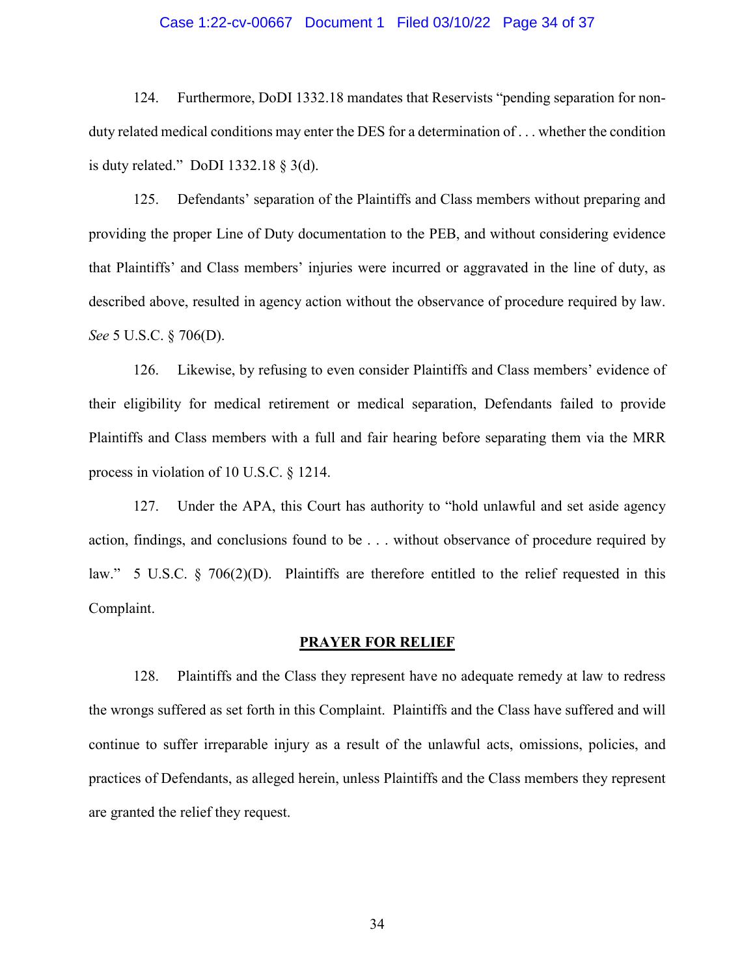### Case 1:22-cv-00667 Document 1 Filed 03/10/22 Page 34 of 37

124. Furthermore, DoDI 1332.18 mandates that Reservists "pending separation for nonduty related medical conditions may enter the DES for a determination of . . . whether the condition is duty related." DoDI 1332.18 § 3(d).

125. Defendants' separation of the Plaintiffs and Class members without preparing and providing the proper Line of Duty documentation to the PEB, and without considering evidence that Plaintiffs' and Class members' injuries were incurred or aggravated in the line of duty, as described above, resulted in agency action without the observance of procedure required by law. *See* 5 U.S.C. § 706(D).

126. Likewise, by refusing to even consider Plaintiffs and Class members' evidence of their eligibility for medical retirement or medical separation, Defendants failed to provide Plaintiffs and Class members with a full and fair hearing before separating them via the MRR process in violation of 10 U.S.C. § 1214.

127. Under the APA, this Court has authority to "hold unlawful and set aside agency action, findings, and conclusions found to be . . . without observance of procedure required by law." 5 U.S.C. § 706(2)(D). Plaintiffs are therefore entitled to the relief requested in this Complaint.

### **PRAYER FOR RELIEF**

128. Plaintiffs and the Class they represent have no adequate remedy at law to redress the wrongs suffered as set forth in this Complaint. Plaintiffs and the Class have suffered and will continue to suffer irreparable injury as a result of the unlawful acts, omissions, policies, and practices of Defendants, as alleged herein, unless Plaintiffs and the Class members they represent are granted the relief they request.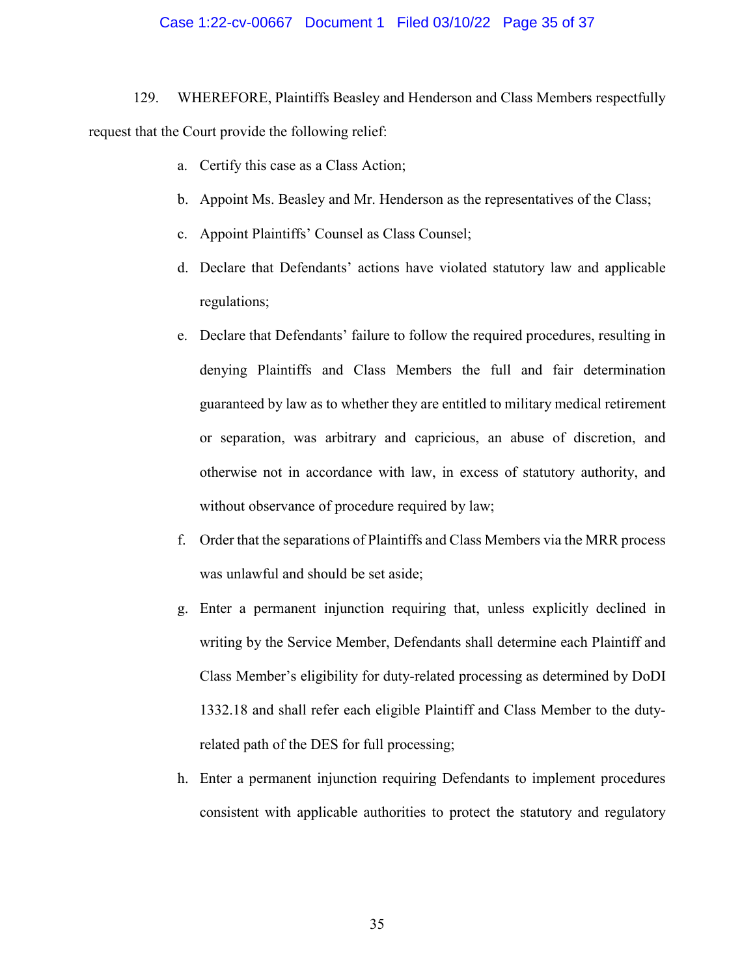## Case 1:22-cv-00667 Document 1 Filed 03/10/22 Page 35 of 37

129. WHEREFORE, Plaintiffs Beasley and Henderson and Class Members respectfully request that the Court provide the following relief:

- a. Certify this case as a Class Action;
- b. Appoint Ms. Beasley and Mr. Henderson as the representatives of the Class;
- c. Appoint Plaintiffs' Counsel as Class Counsel;
- d. Declare that Defendants' actions have violated statutory law and applicable regulations;
- e. Declare that Defendants' failure to follow the required procedures, resulting in denying Plaintiffs and Class Members the full and fair determination guaranteed by law as to whether they are entitled to military medical retirement or separation, was arbitrary and capricious, an abuse of discretion, and otherwise not in accordance with law, in excess of statutory authority, and without observance of procedure required by law;
- f. Order that the separations of Plaintiffs and Class Members via the MRR process was unlawful and should be set aside;
- g. Enter a permanent injunction requiring that, unless explicitly declined in writing by the Service Member, Defendants shall determine each Plaintiff and Class Member's eligibility for duty-related processing as determined by DoDI 1332.18 and shall refer each eligible Plaintiff and Class Member to the dutyrelated path of the DES for full processing;
- h. Enter a permanent injunction requiring Defendants to implement procedures consistent with applicable authorities to protect the statutory and regulatory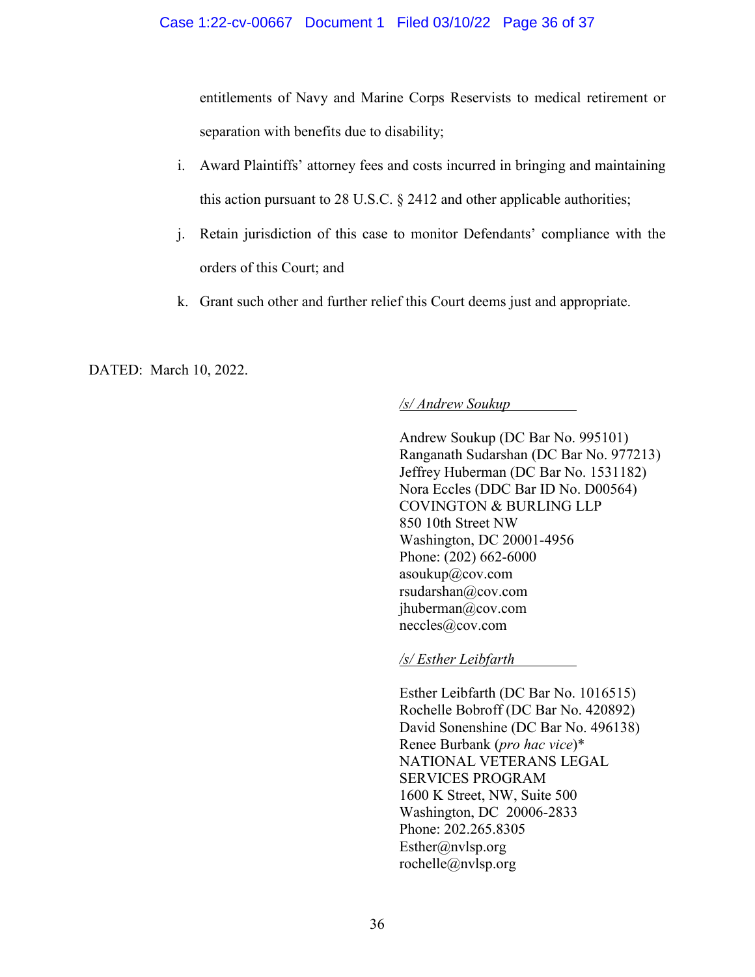entitlements of Navy and Marine Corps Reservists to medical retirement or separation with benefits due to disability;

- i. Award Plaintiffs' attorney fees and costs incurred in bringing and maintaining this action pursuant to 28 U.S.C. § 2412 and other applicable authorities;
- j. Retain jurisdiction of this case to monitor Defendants' compliance with the orders of this Court; and
- k. Grant such other and further relief this Court deems just and appropriate.

DATED: March 10, 2022.

# */s/ Andrew Soukup*

Andrew Soukup (DC Bar No. 995101) Ranganath Sudarshan (DC Bar No. 977213) Jeffrey Huberman (DC Bar No. 1531182) Nora Eccles (DDC Bar ID No. D00564) COVINGTON & BURLING LLP 850 10th Street NW Washington, DC 20001-4956 Phone: (202) 662-6000 asoukup@cov.com rsudarshan@cov.com jhuberman@cov.com neccles@cov.com

*/s/ Esther Leibfarth* 

Esther Leibfarth (DC Bar No. 1016515) Rochelle Bobroff (DC Bar No. 420892) David Sonenshine (DC Bar No. 496138) Renee Burbank (*pro hac vice*)\* NATIONAL VETERANS LEGAL SERVICES PROGRAM 1600 K Street, NW, Suite 500 Washington, DC 20006-2833 Phone: 202.265.8305 Esther@nvlsp.org rochelle@nvlsp.org